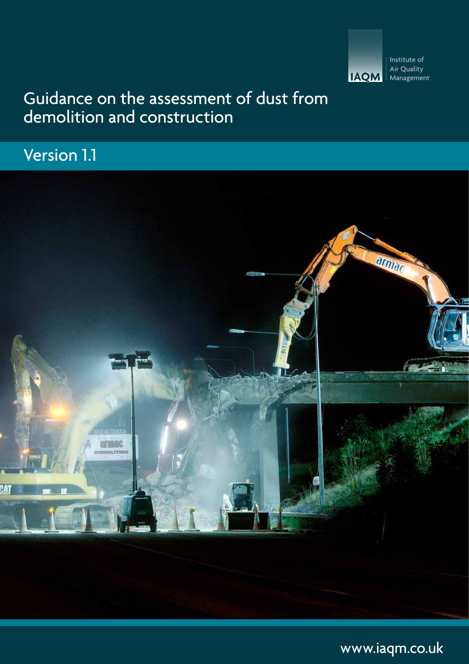

### Guidance on the assessment of dust from demolition and construction

### Version 1.1



[www.iaqm.co.uk](http://www.iaqm.co.uk)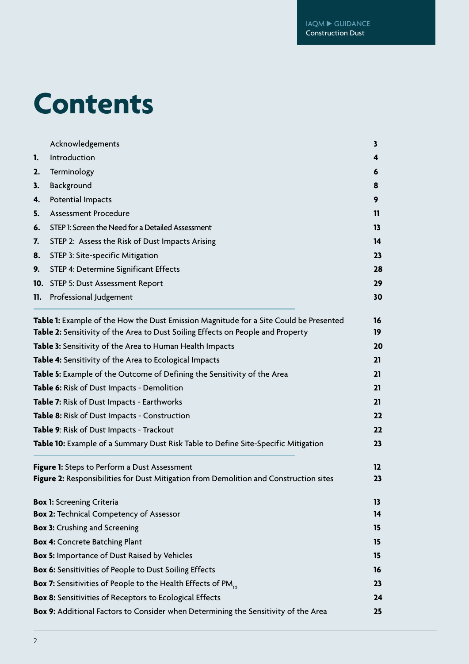# **Contents**

|     | Acknowledgements                                                                                                                                                         | 3        |
|-----|--------------------------------------------------------------------------------------------------------------------------------------------------------------------------|----------|
| 1.  | Introduction                                                                                                                                                             | 4        |
| 2.  | Terminology                                                                                                                                                              | 6        |
| 3.  | Background                                                                                                                                                               | 8        |
| 4.  | Potential Impacts                                                                                                                                                        | 9        |
| 5.  | <b>Assessment Procedure</b>                                                                                                                                              | 11       |
| 6.  | STEP 1: Screen the Need for a Detailed Assessment                                                                                                                        | 13.      |
| 7.  | STEP 2: Assess the Risk of Dust Impacts Arising                                                                                                                          | 14       |
| 8.  | STEP 3: Site-specific Mitigation                                                                                                                                         | 23       |
| 9.  | STEP 4: Determine Significant Effects                                                                                                                                    | 28       |
|     | 10. STEP 5: Dust Assessment Report                                                                                                                                       | 29       |
| 11. | Professional Judgement                                                                                                                                                   | 30       |
|     | Table 1: Example of the How the Dust Emission Magnitude for a Site Could be Presented<br>Table 2: Sensitivity of the Area to Dust Soiling Effects on People and Property | 16<br>19 |
|     | Table 3: Sensitivity of the Area to Human Health Impacts                                                                                                                 | 20       |
|     | Table 4: Sensitivity of the Area to Ecological Impacts                                                                                                                   | 21       |
|     | Table 5: Example of the Outcome of Defining the Sensitivity of the Area                                                                                                  | 21       |
|     | Table 6: Risk of Dust Impacts - Demolition                                                                                                                               | 21       |
|     | Table 7: Risk of Dust Impacts - Earthworks                                                                                                                               | 21       |
|     | Table 8: Risk of Dust Impacts - Construction                                                                                                                             | 22       |
|     | Table 9: Risk of Dust Impacts - Trackout                                                                                                                                 | 22       |
|     | Table 10: Example of a Summary Dust Risk Table to Define Site-Specific Mitigation                                                                                        | 23       |
|     | Figure 1: Steps to Perform a Dust Assessment                                                                                                                             | 12       |
|     | Figure 2: Responsibilities for Dust Mitigation from Demolition and Construction sites                                                                                    | 23       |
|     | <b>Box 1:</b> Screening Criteria                                                                                                                                         | 13       |
|     | <b>Box 2: Technical Competency of Assessor</b>                                                                                                                           | 14       |
|     | <b>Box 3: Crushing and Screening</b>                                                                                                                                     | 15       |
|     | <b>Box 4: Concrete Batching Plant</b>                                                                                                                                    | 15       |
|     | <b>Box 5: Importance of Dust Raised by Vehicles</b>                                                                                                                      | 15       |
|     | <b>Box 6:</b> Sensitivities of People to Dust Soiling Effects                                                                                                            | 16       |
|     | <b>Box 7:</b> Sensitivities of People to the Health Effects of PM <sub>10</sub>                                                                                          | 23       |
|     | <b>Box 8:</b> Sensitivities of Receptors to Ecological Effects                                                                                                           | 24       |
|     | Box 9: Additional Factors to Consider when Determining the Sensitivity of the Area                                                                                       | 25       |
|     |                                                                                                                                                                          |          |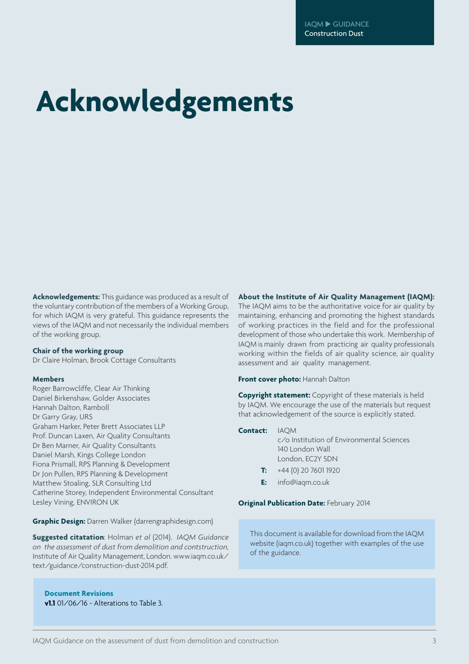# **Acknowledgements**

**Acknowledgements:** This guidance was produced as a result of the voluntary contribution of the members of a Working Group, for which IAQM is very grateful. This guidance represents the views of the IAQM and not necessarily the individual members of the working group.

#### **Chair of the working group**

Dr Claire Holman, Brook Cottage Consultants

#### **Members**

Roger Barrowcliffe, Clear Air Thinking Daniel Birkenshaw, Golder Associates Hannah Dalton, Ramboll Dr Garry Gray, URS Graham Harker, Peter Brett Associates LLP Prof. Duncan Laxen, Air Quality Consultants Dr Ben Marner, Air Quality Consultants Daniel Marsh, Kings College London Fiona Prismall, RPS Planning & Development Dr Jon Pullen, RPS Planning & Development Matthew Stoaling, SLR Consulting Ltd Catherine Storey, Independent Environmental Consultant Lesley Vining, ENVIRON UK

#### **Graphic Design:** Darren Walker (darrengraphidesign.com)

**Suggested citatation**: Holman *et al* (2014). *IAQM Guidance on the assessment of dust from demolition and contstruction,*  Institute of Air Quality Management, London. www.iaqm.co.uk/ text/guidance/construction-dust-2014.pdf.

**Document Revisions v1.1** 01/06/16 - Alterations to Table 3.

#### **About the Institute of Air Quality Management (IAQM):**

The IAQM aims to be the authoritative voice for air quality by maintaining, enhancing and promoting the highest standards of working practices in the field and for the professional development of those who undertake this work. Membership of IAQM is mainly drawn from practicing air quality professionals working within the fields of air quality science, air quality assessment and air quality management.

**Front cover photo:** Hannah Dalton

**Copyright statement:** Copyright of these materials is held by IAQM. We encourage the use of the materials but request that acknowledgement of the source is explicitly stated.

| <b>Contact:</b> IAOM |                                           |
|----------------------|-------------------------------------------|
|                      | c/o Institution of Environmental Sciences |
|                      | 140 London Wall                           |
|                      | London, EC2Y 5DN                          |
|                      |                                           |

- **T:** +44 (0) 20 7601 1920
- **E:** info@iaqm.co.uk

#### **Original Publication Date:** February 2014

This document is available for download from the IAQM website (iaqm.co.uk) together with examples of the use of the guidance.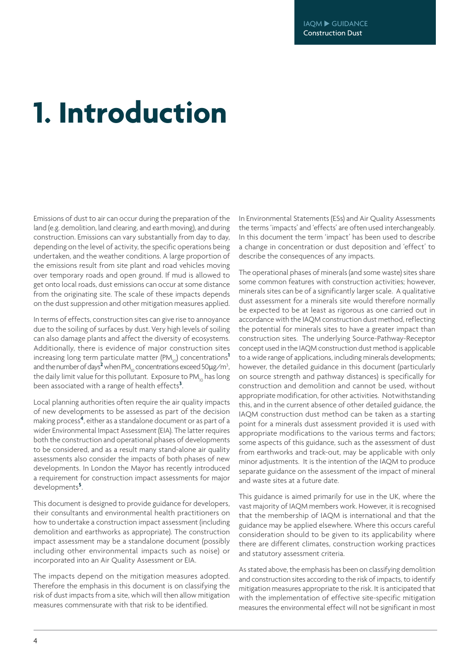# **1. Introduction**

Emissions of dust to air can occur during the preparation of the land (e.g. demolition, land clearing, and earth moving), and during construction. Emissions can vary substantially from day to day, depending on the level of activity, the specific operations being undertaken, and the weather conditions. A large proportion of the emissions result from site plant and road vehicles moving over temporary roads and open ground. If mud is allowed to get onto local roads, dust emissions can occur at some distance from the originating site. The scale of these impacts depends on the dust suppression and other mitigation measures applied.

In terms of effects, construction sites can give rise to annoyance due to the soiling of surfaces by dust. Very high levels of soiling can also damage plants and affect the diversity of ecosystems. Additionally, there is evidence of major construction sites increasing long term particulate matter (PM<sub>10</sub>) concentrations<sup>1</sup> and the number of days<sup>2</sup> when PM<sub>10</sub> concentrations exceed 50µg/m<sup>3</sup>, the daily limit value for this pollutant. Exposure to PM<sub>1</sub> has long been associated with a range of health effects**<sup>3</sup>** .

Local planning authorities often require the air quality impacts of new developments to be assessed as part of the decision making process**<sup>4</sup>** , either as a standalone document or as part of a wider Environmental Impact Assessment (EIA). The latter requires both the construction and operational phases of developments to be considered, and as a result many stand-alone air quality assessments also consider the impacts of both phases of new developments. In London the Mayor has recently introduced a requirement for construction impact assessments for major developments**<sup>5</sup>** .

This document is designed to provide guidance for developers, their consultants and environmental health practitioners on how to undertake a construction impact assessment (including demolition and earthworks as appropriate). The construction impact assessment may be a standalone document (possibly including other environmental impacts such as noise) or incorporated into an Air Quality Assessment or EIA.

The impacts depend on the mitigation measures adopted. Therefore the emphasis in this document is on classifying the risk of dust impacts from a site, which will then allow mitigation measures commensurate with that risk to be identified.

In Environmental Statements (ESs) and Air Quality Assessments the terms 'impacts' and 'effects' are often used interchangeably. In this document the term 'impact' has been used to describe a change in concentration or dust deposition and 'effect' to describe the consequences of any impacts.

The operational phases of minerals (and some waste) sites share some common features with construction activities; however, minerals sites can be of a significantly larger scale. A qualitative dust assessment for a minerals site would therefore normally be expected to be at least as rigorous as one carried out in accordance with the IAQM construction dust method, reflecting the potential for minerals sites to have a greater impact than construction sites. The underlying Source-Pathway-Receptor concept used in the IAQM construction dust method is applicable to a wide range of applications, including minerals developments; however, the detailed guidance in this document (particularly on source strength and pathway distances) is specifically for construction and demolition and cannot be used, without appropriate modification, for other activities. Notwithstanding this, and in the current absence of other detailed guidance, the IAQM construction dust method can be taken as a starting point for a minerals dust assessment provided it is used with appropriate modifications to the various terms and factors; some aspects of this guidance, such as the assessment of dust from earthworks and track-out, may be applicable with only minor adjustments. It is the intention of the IAQM to produce separate guidance on the assessment of the impact of mineral and waste sites at a future date.

This guidance is aimed primarily for use in the UK, where the vast majority of IAQM members work. However, it is recognised that the membership of IAQM is international and that the guidance may be applied elsewhere. Where this occurs careful consideration should to be given to its applicability where there are different climates, construction working practices and statutory assessment criteria.

As stated above, the emphasis has been on classifying demolition and construction sites according to the risk of impacts, to identify mitigation measures appropriate to the risk. It is anticipated that with the implementation of effective site-specific mitigation measures the environmental effect will not be significant in most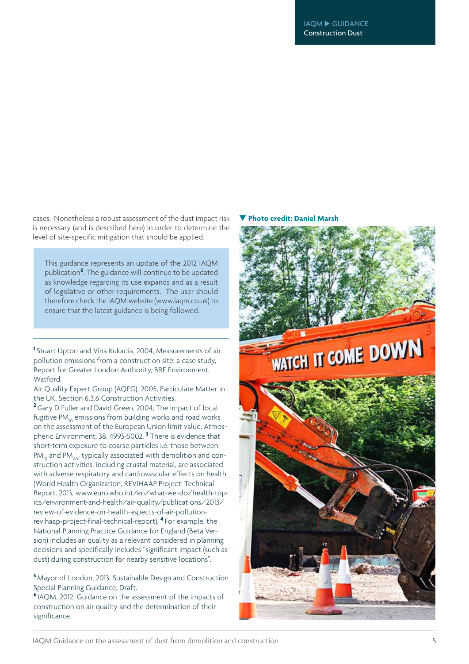cases. Nonetheless a robust assessment of the dust impact risk is necessary (and is described here) in order to determine the level of site-specific mitigation that should be applied.

This guidance represents an update of the 2012 IAQM publication**<sup>6</sup>** . The guidance will continue to be updated as knowledge regarding its use expands and as a result of legislative or other requirements. The user should therefore check the IAQM website (www.iaqm.co.uk) to ensure that the latest guidance is being followed.

**1** Stuart Upton and Vina Kukadia, 2004, Measurements of air pollution emissions from a construction site: a case study, Report for Greater London Authority, BRE Environment, Watford.

Air Quality Expert Group (AQEG), 2005, Particulate Matter in the UK, Section 6.3.6 Construction Activities.

**<sup>2</sup>**Gary D Fuller and David Green, 2004, The impact of local fugitive  $PM_{10}$  emissions from building works and road works on the assessment of the European Union limit value, Atmospheric Environment, 38, 4993-5002. **<sup>3</sup>** There is evidence that short-term exposure to coarse particles i.e. those between  $PM_{10}$  and  $PM_{25}$ , typically associated with demolition and construction activities, including crustal material, are associated with adverse respiratory and cardiovascular effects on health (World Health Organization, REVIHAAP Project: Technical Report, 2013, www.euro.who.int/en/what-we-do/health-topics/environment-and-health/air-quality/publications/2013/ review-of-evidence-on-health-aspects-of-air-pollutionrevihaap-project-final-technical-report). **<sup>4</sup>** For example, the National Planning Practice Guidance for England (Beta Version) includes air quality as a relevant considered in planning decisions and specifically includes "significant impact (such as dust) during construction for nearby sensitive locations".

**<sup>5</sup>** Mayor of London, 2013, Sustainable Design and Construction Special Planning Guidance, Draft.

**<sup>6</sup>** IAQM, 2012, Guidance on the assessment of the impacts of construction on air quality and the determination of their significance.

#### **Photo credit: Daniel Marsh**

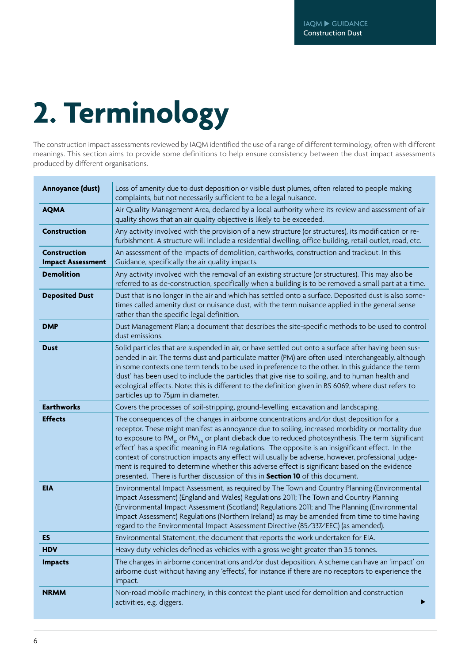# **2. Terminology**

The construction impact assessments reviewed by IAQM identified the use of a range of different terminology, often with different meanings. This section aims to provide some definitions to help ensure consistency between the dust impact assessments produced by different organisations.

| Annoyance (dust)                                | Loss of amenity due to dust deposition or visible dust plumes, often related to people making<br>complaints, but not necessarily sufficient to be a legal nuisance.                                                                                                                                                                                                                                                                                                                                                                                                                                                                                                                                                           |
|-------------------------------------------------|-------------------------------------------------------------------------------------------------------------------------------------------------------------------------------------------------------------------------------------------------------------------------------------------------------------------------------------------------------------------------------------------------------------------------------------------------------------------------------------------------------------------------------------------------------------------------------------------------------------------------------------------------------------------------------------------------------------------------------|
| <b>AQMA</b>                                     | Air Quality Management Area, declared by a local authority where its review and assessment of air<br>quality shows that an air quality objective is likely to be exceeded.                                                                                                                                                                                                                                                                                                                                                                                                                                                                                                                                                    |
| <b>Construction</b>                             | Any activity involved with the provision of a new structure (or structures), its modification or re-<br>furbishment. A structure will include a residential dwelling, office building, retail outlet, road, etc.                                                                                                                                                                                                                                                                                                                                                                                                                                                                                                              |
| <b>Construction</b><br><b>Impact Assessment</b> | An assessment of the impacts of demolition, earthworks, construction and trackout. In this<br>Guidance, specifically the air quality impacts.                                                                                                                                                                                                                                                                                                                                                                                                                                                                                                                                                                                 |
| <b>Demolition</b>                               | Any activity involved with the removal of an existing structure (or structures). This may also be<br>referred to as de-construction, specifically when a building is to be removed a small part at a time.                                                                                                                                                                                                                                                                                                                                                                                                                                                                                                                    |
| <b>Deposited Dust</b>                           | Dust that is no longer in the air and which has settled onto a surface. Deposited dust is also some-<br>times called amenity dust or nuisance dust, with the term nuisance applied in the general sense<br>rather than the specific legal definition.                                                                                                                                                                                                                                                                                                                                                                                                                                                                         |
| <b>DMP</b>                                      | Dust Management Plan; a document that describes the site-specific methods to be used to control<br>dust emissions.                                                                                                                                                                                                                                                                                                                                                                                                                                                                                                                                                                                                            |
| <b>Dust</b>                                     | Solid particles that are suspended in air, or have settled out onto a surface after having been sus-<br>pended in air. The terms dust and particulate matter (PM) are often used interchangeably, although<br>in some contexts one term tends to be used in preference to the other. In this guidance the term<br>'dust' has been used to include the particles that give rise to soiling, and to human health and<br>ecological effects. Note: this is different to the definition given in BS 6069, where dust refers to<br>particles up to 75µm in diameter.                                                                                                                                                               |
| <b>Earthworks</b>                               | Covers the processes of soil-stripping, ground-levelling, excavation and landscaping.                                                                                                                                                                                                                                                                                                                                                                                                                                                                                                                                                                                                                                         |
| <b>Effects</b>                                  | The consequences of the changes in airborne concentrations and/or dust deposition for a<br>receptor. These might manifest as annoyance due to soiling, increased morbidity or mortality due<br>to exposure to PM <sub>10</sub> or PM <sub>25</sub> or plant dieback due to reduced photosynthesis. The term 'significant<br>effect' has a specific meaning in EIA regulations. The opposite is an insignificant effect. In the<br>context of construction impacts any effect will usually be adverse, however, professional judge-<br>ment is required to determine whether this adverse effect is significant based on the evidence<br>presented. There is further discussion of this in <b>Section 10</b> of this document. |
| <b>EIA</b>                                      | Environmental Impact Assessment, as required by The Town and Country Planning (Environmental<br>Impact Assessment) (England and Wales) Regulations 2011; The Town and Country Planning<br>(Environmental Impact Assessment (Scotland) Regulations 2011; and The Planning (Environmental<br>Impact Assessment) Regulations (Northern Ireland) as may be amended from time to time having<br>regard to the Environmental Impact Assessment Directive (85/337/EEC) (as amended).                                                                                                                                                                                                                                                 |
| ES                                              | Environmental Statement, the document that reports the work undertaken for EIA.                                                                                                                                                                                                                                                                                                                                                                                                                                                                                                                                                                                                                                               |
| <b>HDV</b>                                      | Heavy duty vehicles defined as vehicles with a gross weight greater than 3.5 tonnes.                                                                                                                                                                                                                                                                                                                                                                                                                                                                                                                                                                                                                                          |
| <b>Impacts</b>                                  | The changes in airborne concentrations and/or dust deposition. A scheme can have an 'impact' on<br>airborne dust without having any 'effects', for instance if there are no receptors to experience the<br>impact.                                                                                                                                                                                                                                                                                                                                                                                                                                                                                                            |
| <b>NRMM</b>                                     | Non-road mobile machinery, in this context the plant used for demolition and construction<br>activities, e.g. diggers.                                                                                                                                                                                                                                                                                                                                                                                                                                                                                                                                                                                                        |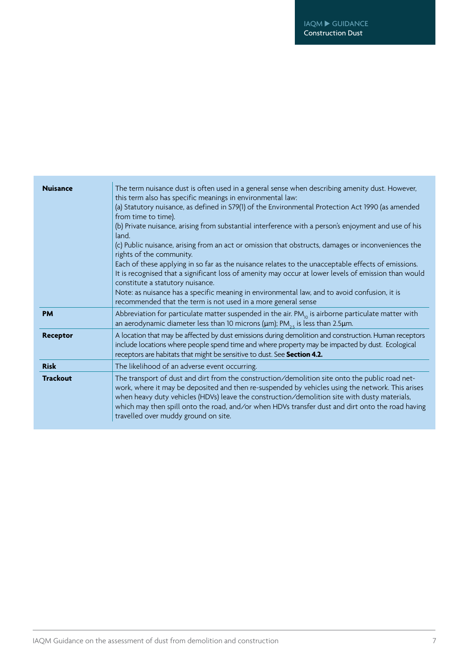| <b>Nuisance</b> | The term nuisance dust is often used in a general sense when describing amenity dust. However,<br>this term also has specific meanings in environmental law:<br>(a) Statutory nuisance, as defined in S79(1) of the Environmental Protection Act 1990 (as amended<br>from time to time).<br>(b) Private nuisance, arising from substantial interference with a person's enjoyment and use of his<br>land.<br>(c) Public nuisance, arising from an act or omission that obstructs, damages or inconveniences the<br>rights of the community.<br>Each of these applying in so far as the nuisance relates to the unacceptable effects of emissions.<br>It is recognised that a significant loss of amenity may occur at lower levels of emission than would<br>constitute a statutory nuisance.<br>Note: as nuisance has a specific meaning in environmental law, and to avoid confusion, it is<br>recommended that the term is not used in a more general sense |
|-----------------|----------------------------------------------------------------------------------------------------------------------------------------------------------------------------------------------------------------------------------------------------------------------------------------------------------------------------------------------------------------------------------------------------------------------------------------------------------------------------------------------------------------------------------------------------------------------------------------------------------------------------------------------------------------------------------------------------------------------------------------------------------------------------------------------------------------------------------------------------------------------------------------------------------------------------------------------------------------|
| <b>PM</b>       | Abbreviation for particulate matter suspended in the air. $PM_{10}$ is airborne particulate matter with<br>an aerodynamic diameter less than 10 microns ( $\mu$ m); PM <sub>25</sub> is less than 2.5 $\mu$ m.                                                                                                                                                                                                                                                                                                                                                                                                                                                                                                                                                                                                                                                                                                                                                 |
| <b>Receptor</b> | A location that may be affected by dust emissions during demolition and construction. Human receptors<br>include locations where people spend time and where property may be impacted by dust. Ecological<br>receptors are habitats that might be sensitive to dust. See Section 4.2.                                                                                                                                                                                                                                                                                                                                                                                                                                                                                                                                                                                                                                                                          |
| <b>Risk</b>     | The likelihood of an adverse event occurring.                                                                                                                                                                                                                                                                                                                                                                                                                                                                                                                                                                                                                                                                                                                                                                                                                                                                                                                  |
| <b>Trackout</b> | The transport of dust and dirt from the construction/demolition site onto the public road net-<br>work, where it may be deposited and then re-suspended by vehicles using the network. This arises<br>when heavy duty vehicles (HDVs) leave the construction/demolition site with dusty materials,<br>which may then spill onto the road, and/or when HDVs transfer dust and dirt onto the road having<br>travelled over muddy ground on site.                                                                                                                                                                                                                                                                                                                                                                                                                                                                                                                 |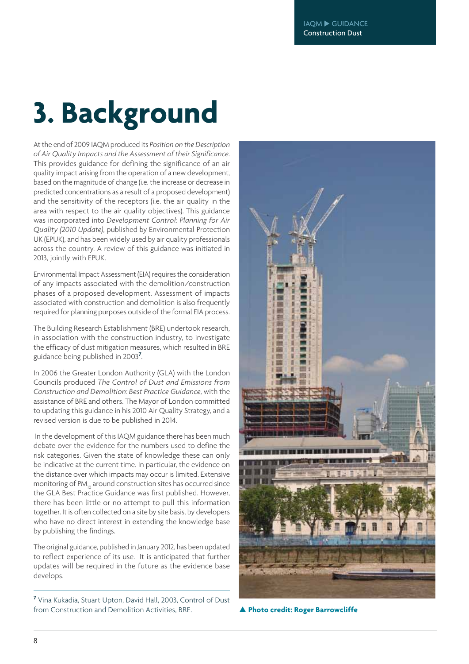# **3. Background**

At the end of 2009 IAQM produced its *Position on the Description of Air Quality Impacts and the Assessment of their Significance*. This provides guidance for defining the significance of an air quality impact arising from the operation of a new development, based on the magnitude of change (i.e. the increase or decrease in predicted concentrations as a result of a proposed development) and the sensitivity of the receptors (i.e. the air quality in the area with respect to the air quality objectives). This guidance was incorporated into *Development Control: Planning for Air Quality (2010 Update)*, published by Environmental Protection UK (EPUK), and has been widely used by air quality professionals across the country. A review of this guidance was initiated in 2013, jointly with EPUK.

Environmental Impact Assessment (EIA) requires the consideration of any impacts associated with the demolition/construction phases of a proposed development. Assessment of impacts associated with construction and demolition is also frequently required for planning purposes outside of the formal EIA process.

The Building Research Establishment (BRE) undertook research, in association with the construction industry, to investigate the efficacy of dust mitigation measures, which resulted in BRE guidance being published in 2003**<sup>7</sup>** .

In 2006 the Greater London Authority (GLA) with the London Councils produced *The Control of Dust and Emissions from Construction and Demolition: Best Practice Guidance*, with the assistance of BRE and others. The Mayor of London committed to updating this guidance in his 2010 Air Quality Strategy, and a revised version is due to be published in 2014.

 In the development of this IAQM guidance there has been much debate over the evidence for the numbers used to define the risk categories. Given the state of knowledge these can only be indicative at the current time. In particular, the evidence on the distance over which impacts may occur is limited. Extensive monitoring of PM<sub>10</sub> around construction sites has occurred since the GLA Best Practice Guidance was first published. However, there has been little or no attempt to pull this information together. It is often collected on a site by site basis, by developers who have no direct interest in extending the knowledge base by publishing the findings.

The original guidance, published in January 2012, has been updated to reflect experience of its use. It is anticipated that further updates will be required in the future as the evidence base develops.

**7** Vina Kukadia, Stuart Upton, David Hall, 2003, Control of Dust from Construction and Demolition Activities, BRE. **Photo credit: Roger Barrowcliffe**

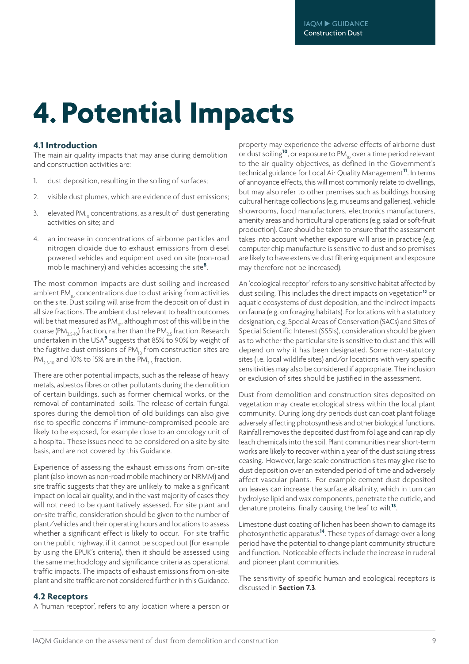# **4. Potential Impacts**

#### **4.1 Introduction**

The main air quality impacts that may arise during demolition and construction activities are:

- 1. dust deposition, resulting in the soiling of surfaces;
- 2. visible dust plumes, which are evidence of dust emissions;
- 3. elevated  $PM_{10}$  concentrations, as a result of dust generating activities on site; and
- 4. an increase in concentrations of airborne particles and nitrogen dioxide due to exhaust emissions from diesel powered vehicles and equipment used on site (non-road mobile machinery) and vehicles accessing the site**<sup>8</sup>**.

The most common impacts are dust soiling and increased ambient PM<sub>10</sub> concentrations due to dust arising from activities on the site. Dust soiling will arise from the deposition of dust in all size fractions. The ambient dust relevant to health outcomes will be that measured as  $PM_{10}$ , although most of this will be in the coarse (PM<sub>2.5-10</sub>) fraction, rather than the PM<sub>2.5</sub> fraction. Research undertaken in the USA**<sup>9</sup>** suggests that 85% to 90% by weight of the fugitive dust emissions of  $PM_{10}$  from construction sites are PM<sub>2.5-10</sub> and 10% to 15% are in the PM<sub>2.5</sub> fraction.

There are other potential impacts, such as the release of heavy metals, asbestos fibres or other pollutants during the demolition of certain buildings, such as former chemical works, or the removal of contaminated soils. The release of certain fungal spores during the demolition of old buildings can also give rise to specific concerns if immune-compromised people are likely to be exposed, for example close to an oncology unit of a hospital. These issues need to be considered on a site by site basis, and are not covered by this Guidance.

Experience of assessing the exhaust emissions from on-site plant (also known as non-road mobile machinery or NRMM) and site traffic suggests that they are unlikely to make a significant impact on local air quality, and in the vast majority of cases they will not need to be quantitatively assessed. For site plant and on-site traffic, consideration should be given to the number of plant/vehicles and their operating hours and locations to assess whether a significant effect is likely to occur. For site traffic on the public highway, if it cannot be scoped out (for example by using the EPUK's criteria), then it should be assessed using the same methodology and significance criteria as operational traffic impacts. The impacts of exhaust emissions from on-site plant and site traffic are not considered further in this Guidance.

#### **4.2 Receptors**

A 'human receptor', refers to any location where a person or

property may experience the adverse effects of airborne dust or dust soiling<sup>10</sup>, or exposure to PM<sub>10</sub> over a time period relevant to the air quality objectives, as defined in the Government's technical guidance for Local Air Quality Management**<sup>11</sup>**. In terms of annoyance effects, this will most commonly relate to dwellings, but may also refer to other premises such as buildings housing cultural heritage collections (e.g. museums and galleries), vehicle showrooms, food manufacturers, electronics manufacturers, amenity areas and horticultural operations (e.g. salad or soft-fruit production). Care should be taken to ensure that the assessment takes into account whether exposure will arise in practice (e.g. computer chip manufacture is sensitive to dust and so premises are likely to have extensive dust filtering equipment and exposure may therefore not be increased).

An 'ecological receptor' refers to any sensitive habitat affected by dust soiling. This includes the direct impacts on vegetation**<sup>12</sup>** or aquatic ecosystems of dust deposition, and the indirect impacts on fauna (e.g. on foraging habitats). For locations with a statutory designation, e.g. Special Areas of Conservation (SACs) and Sites of Special Scientific Interest (SSSIs), consideration should be given as to whether the particular site is sensitive to dust and this will depend on why it has been designated. Some non-statutory sites (i.e. local wildlife sites) and/or locations with very specific sensitivities may also be considered if appropriate. The inclusion or exclusion of sites should be justified in the assessment.

Dust from demolition and construction sites deposited on vegetation may create ecological stress within the local plant community. During long dry periods dust can coat plant foliage adversely affecting photosynthesis and other biological functions. Rainfall removes the deposited dust from foliage and can rapidly leach chemicals into the soil. Plant communities near short-term works are likely to recover within a year of the dust soiling stress ceasing. However, large scale construction sites may give rise to dust deposition over an extended period of time and adversely affect vascular plants. For example cement dust deposited on leaves can increase the surface alkalinity, which in turn can hydrolyse lipid and wax components, penetrate the cuticle, and denature proteins, finally causing the leaf to wilt**<sup>13</sup>**.

Limestone dust coating of lichen has been shown to damage its photosynthetic apparatus**<sup>14</sup>**. These types of damage over a long period have the potential to change plant community structure and function. Noticeable effects include the increase in ruderal and pioneer plant communities.

The sensitivity of specific human and ecological receptors is discussed in **Section 7.3**.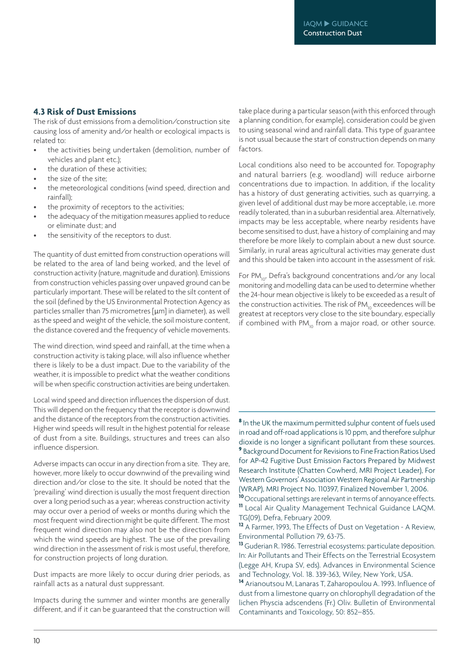#### **4.3 Risk of Dust Emissions**

The risk of dust emissions from a demolition/construction site causing loss of amenity and/or health or ecological impacts is related to:

- the activities being undertaken (demolition, number of vehicles and plant etc.);
- the duration of these activities:
- the size of the site;
- the meteorological conditions (wind speed, direction and rainfall);
- the proximity of receptors to the activities;
- the adequacy of the mitigation measures applied to reduce or eliminate dust; and
- the sensitivity of the receptors to dust.

The quantity of dust emitted from construction operations will be related to the area of land being worked, and the level of construction activity (nature, magnitude and duration). Emissions from construction vehicles passing over unpaved ground can be particularly important. These will be related to the silt content of the soil (defined by the US Environmental Protection Agency as particles smaller than 75 micrometres [µm] in diameter), as well as the speed and weight of the vehicle, the soil moisture content, the distance covered and the frequency of vehicle movements.

The wind direction, wind speed and rainfall, at the time when a construction activity is taking place, will also influence whether there is likely to be a dust impact. Due to the variability of the weather, it is impossible to predict what the weather conditions will be when specific construction activities are being undertaken.

Local wind speed and direction influences the dispersion of dust. This will depend on the frequency that the receptor is downwind and the distance of the receptors from the construction activities. Higher wind speeds will result in the highest potential for release of dust from a site. Buildings, structures and trees can also influence dispersion.

Adverse impacts can occur in any direction from a site. They are, however, more likely to occur downwind of the prevailing wind direction and/or close to the site. It should be noted that the 'prevailing' wind direction is usually the most frequent direction over a long period such as a year; whereas construction activity may occur over a period of weeks or months during which the most frequent wind direction might be quite different. The most frequent wind direction may also not be the direction from which the wind speeds are highest. The use of the prevailing wind direction in the assessment of risk is most useful, therefore, for construction projects of long duration.

Dust impacts are more likely to occur during drier periods, as rainfall acts as a natural dust suppressant.

Impacts during the summer and winter months are generally different, and if it can be guaranteed that the construction will

take place during a particular season (with this enforced through a planning condition, for example), consideration could be given to using seasonal wind and rainfall data. This type of guarantee is not usual because the start of construction depends on many factors.

Local conditions also need to be accounted for. Topography and natural barriers (e.g. woodland) will reduce airborne concentrations due to impaction. In addition, if the locality has a history of dust generating activities, such as quarrying, a given level of additional dust may be more acceptable, i.e. more readily tolerated, than in a suburban residential area. Alternatively, impacts may be less acceptable, where nearby residents have become sensitised to dust, have a history of complaining and may therefore be more likely to complain about a new dust source. Similarly, in rural areas agricultural activities may generate dust and this should be taken into account in the assessment of risk.

For PM<sub>10</sub>, Defra's background concentrations and/or any local monitoring and modelling data can be used to determine whether the 24-hour mean objective is likely to be exceeded as a result of the construction activities. The risk of  $PM_{10}$  exceedences will be greatest at receptors very close to the site boundary, especially if combined with  $PM_{10}$  from a major road, or other source.

**8** In the UK the maximum permitted sulphur content of fuels used in road and off-road applications is 10 ppm, and therefore sulphur dioxide is no longer a significant pollutant from these sources. **<sup>9</sup>** Background Document for Revisions to Fine Fraction Ratios Used for AP-42 Fugitive Dust Emission Factors Prepared by Midwest Research Institute (Chatten Cowherd, MRI Project Leader), For Western Governors' Association Western Regional Air Partnership (WRAP), MRI Project No. 110397, Finalized November 1, 2006.

**<sup>10</sup>**Occupational settings are relevant in terms of annoyance effects. **<sup>11</sup>** Local Air Quality Management Technical Guidance LAQM. TG(09), Defra, February 2009.

**<sup>13</sup>** Guderian R. 1986. Terrestrial ecosystems: particulate deposition. In: Air Pollutants and Their Effects on the Terrestrial Ecosystem (Legge AH, Krupa SV, eds). Advances in Environmental Science and Technology, Vol. 18. 339-363, Wiley, New York, USA.

**<sup>14</sup>** Arianoutsou M, Lanaras T, Zaharopoulou A. 1993. Influence of dust from a limestone quarry on chlorophyll degradation of the lichen Physcia adscendens (Fr.) Oliv. Bulletin of Environmental Contaminants and Toxicology, 50: 852–855.

**<sup>12</sup>** A Farmer, 1993, The Effects of Dust on Vegetation - A Review, Environmental Pollution 79, 63-75.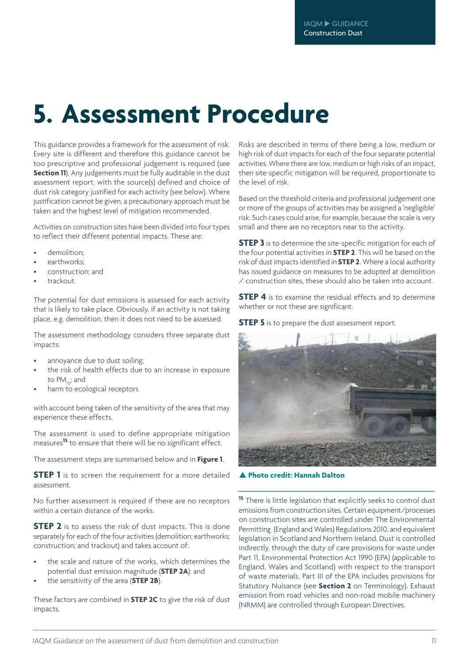## **5. Assessment Procedure**

This guidance provides a framework for the assessment of risk. Every site is different and therefore this guidance cannot be too prescriptive and professional judgement is required (see **Section 11**). Any judgements must be fully auditable in the dust assessment report, with the source(s) defined and choice of dust risk category justified for each activity (see below). Where justification cannot be given, a precautionary approach must be taken and the highest level of mitigation recommended.

Activities on construction sites have been divided into four types to reflect their different potential impacts. These are:

- demolition:
- earthworks:
- construction; and
- trackout.

The potential for dust emissions is assessed for each activity that is likely to take place. Obviously, if an activity is not taking place, e.g. demolition, then it does not need to be assessed.

The assessment methodology considers three separate dust impacts:

- annoyance due to dust soiling:
- the risk of health effects due to an increase in exposure to PM<sub>10</sub>; and
- harm to ecological receptors

with account being taken of the sensitivity of the area that may experience these effects.

The assessment is used to define appropriate mitigation measures**<sup>15</sup>** to ensure that there will be no significant effect.

The assessment steps are summarised below and in **Figure 1**.

**STEP 1** is to screen the requirement for a more detailed assessment.

No further assessment is required if there are no receptors within a certain distance of the works.

**STEP 2** is to assess the risk of dust impacts. This is done separately for each of the four activities (demolition; earthworks; construction; and trackout) and takes account of:

- the scale and nature of the works, which determines the potential dust emission magnitude (**STEP 2A**); and
- the sensitivity of the area (**STEP 2B**).

These factors are combined in **STEP 2C** to give the risk of dust impacts.

Risks are described in terms of there being a low, medium or high risk of dust impacts for each of the four separate potential activities. Where there are low, medium or high risks of an impact, then site-specific mitigation will be required, proportionate to the level of risk.

Based on the threshold criteria and professional judgement one or more of the groups of activities may be assigned a 'negligible' risk. Such cases could arise, for example, because the scale is very small and there are no receptors near to the activity.

**STEP 3** is to determine the site-specific mitigation for each of the four potential activities in **STEP 2**. This will be based on the risk of dust impacts identified in **STEP 2**. Where a local authority has issued guidance on measures to be adopted at demolition / construction sites, these should also be taken into account.

**STEP 4** is to examine the residual effects and to determine whether or not these are significant.

**STEP 5** is to prepare the dust assessment report.



**Photo credit: Hannah Dalton**

**<sup>15</sup>** There is little legislation that explicitly seeks to control dust emissions from construction sites. Certain equipment/processes on construction sites are controlled under The Environmental Permitting (England and Wales) Regulations 2010, and equivalent legislation in Scotland and Northern Ireland. Dust is controlled indirectly, through the duty of care provisions for waste under Part 11, Environmental Protection Act 1990 (EPA) (applicable to England, Wales and Scotland) with respect to the transport of waste materials. Part III of the EPA includes provisions for Statutory Nuisance (see **Section 2** on Terminology). Exhaust emission from road vehicles and non-road mobile machinery (NRMM) are controlled through European Directives.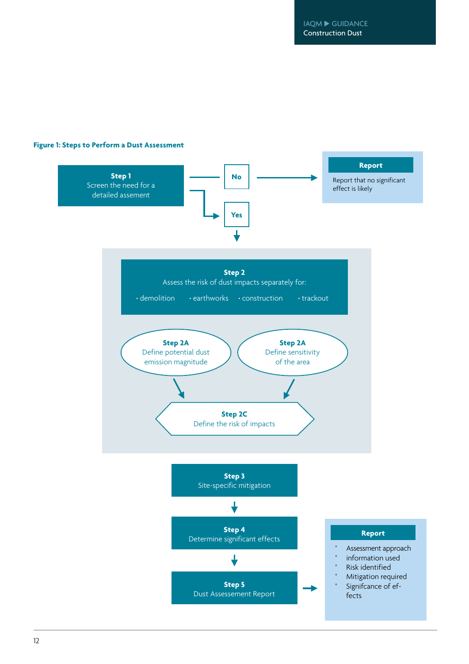IAQM ▶ GUIDANCE Construction Dust

#### **Figure 1: Steps to Perform a Dust Assessment**

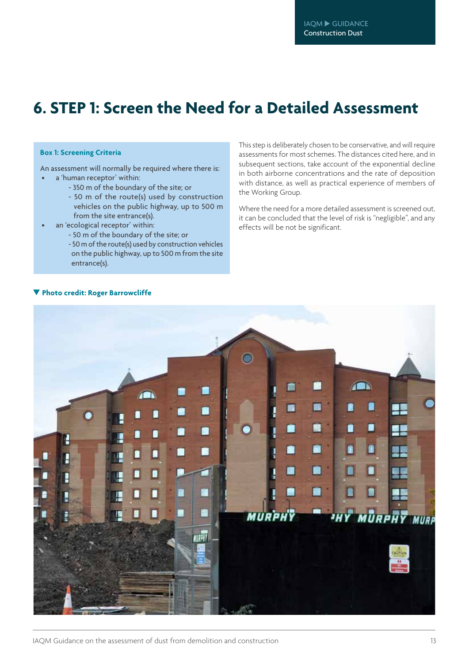### **6. STEP 1: Screen the Need for a Detailed Assessment**

#### **Box 1: Screening Criteria**

An assessment will normally be required where there is: a 'human receptor' within:

- 350 m of the boundary of the site; or
- 50 m of the route(s) used by construction vehicles on the public highway, up to 500 m from the site entrance(s).
- an 'ecological receptor' within:
	- 50 m of the boundary of the site; or
	- 50 m of the route(s) used by construction vehicles on the public highway, up to 500 m from the site entrance(s).

This step is deliberately chosen to be conservative, and will require assessments for most schemes. The distances cited here, and in subsequent sections, take account of the exponential decline in both airborne concentrations and the rate of deposition with distance, as well as practical experience of members of the Working Group.

Where the need for a more detailed assessment is screened out, it can be concluded that the level of risk is "negligible", and any effects will be not be significant.



#### **Photo credit: Roger Barrowcliffe**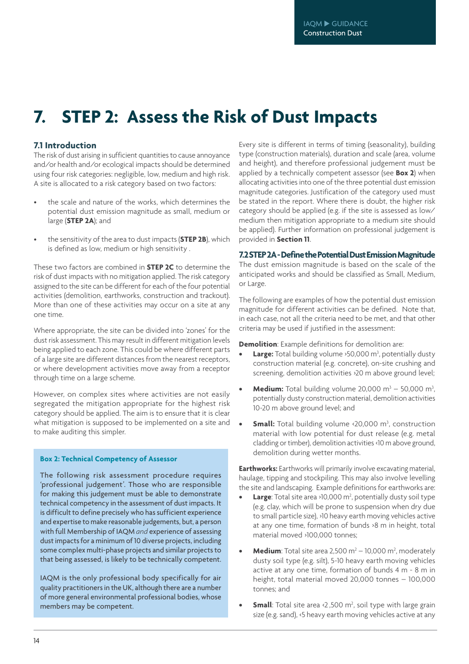### **7. STEP 2: Assess the Risk of Dust Impacts**

#### **7.1 Introduction**

The risk of dust arising in sufficient quantities to cause annoyance and/or health and/or ecological impacts should be determined using four risk categories: negligible, low, medium and high risk. A site is allocated to a risk category based on two factors:

- the scale and nature of the works, which determines the potential dust emission magnitude as small, medium or large (**STEP 2A**); and
- the sensitivity of the area to dust impacts (**STEP 2B**), which is defined as low, medium or high sensitivity .

These two factors are combined in **STEP 2C** to determine the risk of dust impacts with no mitigation applied. The risk category assigned to the site can be different for each of the four potential activities (demolition, earthworks, construction and trackout). More than one of these activities may occur on a site at any one time.

Where appropriate, the site can be divided into 'zones' for the dust risk assessment. This may result in different mitigation levels being applied to each zone. This could be where different parts of a large site are different distances from the nearest receptors, or where development activities move away from a receptor through time on a large scheme.

However, on complex sites where activities are not easily segregated the mitigation appropriate for the highest risk category should be applied. The aim is to ensure that it is clear what mitigation is supposed to be implemented on a site and to make auditing this simpler.

#### **Box 2: Technical Competency of Assessor**

The following risk assessment procedure requires 'professional judgement'. Those who are responsible for making this judgement must be able to demonstrate technical competency in the assessment of dust impacts. It is difficult to define precisely who has sufficient experience and expertise to make reasonable judgements, but, a person with full Membership of IAQM *and* experience of assessing dust impacts for a minimum of 10 diverse projects, including some complex multi-phase projects and similar projects to that being assessed, is likely to be technically competent.

IAQM is the only professional body specifically for air quality practitioners in the UK, although there are a number of more general environmental professional bodies, whose members may be competent.

Every site is different in terms of timing (seasonality), building type (construction materials), duration and scale (area, volume and height), and therefore professional judgement must be applied by a technically competent assessor (see **Box 2**) when allocating activities into one of the three potential dust emission magnitude categories. Justification of the category used must be stated in the report. Where there is doubt, the higher risk category should be applied (e.g. if the site is assessed as low/ medium then mitigation appropriate to a medium site should be applied). Further information on professional judgement is provided in **Section 11**.

#### **7.2STEP2A-DefinethePotentialDustEmissionMagnitude**

The dust emission magnitude is based on the scale of the anticipated works and should be classified as Small, Medium, or Large.

The following are examples of how the potential dust emission magnitude for different activities can be defined. Note that, in each case, not all the criteria need to be met, and that other criteria may be used if justified in the assessment:

**Demolition**: Example definitions for demolition are:

- **Large:** Total building volume > 50,000 m<sup>3</sup>, potentially dusty construction material (e.g. concrete), on-site crushing and screening, demolition activities >20 m above ground level;
- **Medium:** Total building volume  $20,000 \text{ m}^3 50,000 \text{ m}^3$ , potentially dusty construction material, demolition activities 10-20 m above ground level; and
- **• Small:** Total building volume <20,000 m<sup>3</sup>, construction material with low potential for dust release (e.g. metal cladding or timber), demolition activities <10 m above ground, demolition during wetter months.

**Earthworks:** Earthworks will primarily involve excavating material, haulage, tipping and stockpiling. This may also involve levelling the site and landscaping. Example definitions for earthworks are:

- **Large**: Total site area >10,000 m<sup>2</sup>, potentially dusty soil type (e.g. clay, which will be prone to suspension when dry due to small particle size), >10 heavy earth moving vehicles active at any one time, formation of bunds >8 m in height, total material moved >100,000 tonnes;
- **Medium**: Total site area 2,500 m<sup>2</sup> 10,000 m<sup>2</sup>, moderately dusty soil type (e.g. silt), 5-10 heavy earth moving vehicles active at any one time, formation of bunds 4 m - 8 m in height, total material moved 20,000 tonnes – 100,000 tonnes; and
- **Small**: Total site area <2,500 m<sup>2</sup>, soil type with large grain size (e.g. sand), <5 heavy earth moving vehicles active at any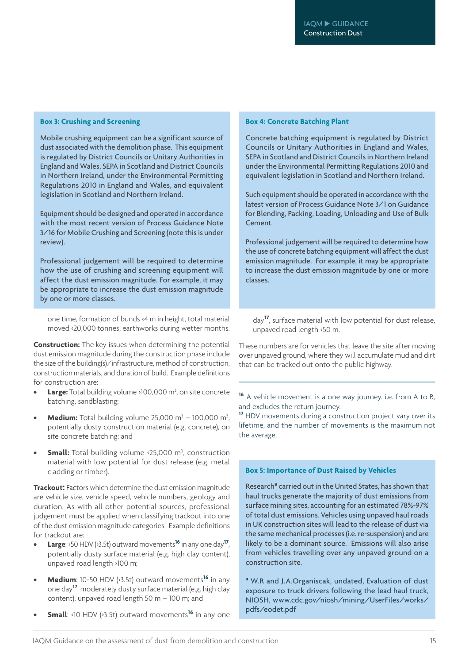#### **Box 3: Crushing and Screening**

Mobile crushing equipment can be a significant source of dust associated with the demolition phase. This equipment is regulated by District Councils or Unitary Authorities in England and Wales, SEPA in Scotland and District Councils in Northern Ireland, under the Environmental Permitting Regulations 2010 in England and Wales, and equivalent legislation in Scotland and Northern Ireland.

Equipment should be designed and operated in accordance with the most recent version of Process Guidance Note 3/16 for Mobile Crushing and Screening (note this is under review).

Professional judgement will be required to determine how the use of crushing and screening equipment will affect the dust emission magnitude. For example, it may be appropriate to increase the dust emission magnitude by one or more classes.

one time, formation of bunds <4 m in height, total material moved <20,000 tonnes, earthworks during wetter months.

**Construction:** The key issues when determining the potential dust emission magnitude during the construction phase include the size of the building(s)/infrastructure, method of construction, construction materials, and duration of build. Example definitions for construction are:

- **Large:** Total building volume >100,000 m<sup>3</sup>, on site concrete batching, sandblasting;
- **Medium:** Total building volume  $25,000 \text{ m}^3 100,000 \text{ m}^3$ , potentially dusty construction material (e.g. concrete), on site concrete batching; and
- **• Small:** Total building volume <25,000 m<sup>3</sup>, construction material with low potential for dust release (e.g. metal cladding or timber).

**Trackout:** Factors which determine the dust emission magnitude are vehicle size, vehicle speed, vehicle numbers, geology and duration. As with all other potential sources, professional judgement must be applied when classifying trackout into one of the dust emission magnitude categories. Example definitions for trackout are:

- **Large:** >50 HDV (>3.5t) outward movements<sup>16</sup> in any one day<sup>17</sup>. potentially dusty surface material (e.g. high clay content), unpaved road length >100 m;
- **Medium**: 10-50 HDV (>3.5t) outward movements<sup>16</sup> in any one day**<sup>17</sup>**, moderately dusty surface material (e.g. high clay content), unpaved road length 50 m – 100 m; and
- **Small**: <10 HDV (>3.5t) outward movements<sup>16</sup> in any one

#### **Box 4: Concrete Batching Plant**

| Concrete batching equipment is regulated by District<br>Councils or Unitary Authorities in England and Wales,<br>SEPA in Scotland and District Councils in Northern Ireland<br>under the Environmental Permitting Regulations 2010 and<br>equivalent legislation in Scotland and Northern Ireland. |
|----------------------------------------------------------------------------------------------------------------------------------------------------------------------------------------------------------------------------------------------------------------------------------------------------|
| Such equipment should be operated in accordance with the<br>latest version of Process Guidance Note 3/1 on Guidance<br>for Blending, Packing, Loading, Unloading and Use of Bulk<br>Cement.                                                                                                        |
| Professional judgement will be required to determine how<br>the use of concrete batching equipment will affect the dust<br>emission magnitude. For example, it may be appropriate<br>to increase the dust emission magnitude by one or more<br>classes.                                            |

day**<sup>17</sup>**, surface material with low potential for dust release, unpaved road length <50 m.

These numbers are for vehicles that leave the site after moving over unpaved ground, where they will accumulate mud and dirt that can be tracked out onto the public highway.

**<sup>16</sup>** A vehicle movement is a one way journey. i.e. from A to B, and excludes the return journey.

**<sup>17</sup>** HDV movements during a construction project vary over its lifetime, and the number of movements is the maximum not the average.

#### **Box 5: Importance of Dust Raised by Vehicles**

Research**<sup>a</sup>** carried out in the United States, has shown that haul trucks generate the majority of dust emissions from surface mining sites, accounting for an estimated 78%-97% of total dust emissions. Vehicles using unpaved haul roads in UK construction sites will lead to the release of dust via the same mechanical processes (i.e. re-suspension) and are likely to be a dominant source. Emissions will also arise from vehicles travelling over any unpaved ground on a construction site.

**<sup>a</sup>** W.R and J.A.Organiscak, undated, Evaluation of dust exposure to truck drivers following the lead haul truck, NIOSH, www.cdc.gov/niosh/mining/UserFiles/works/ pdfs/eodet.pdf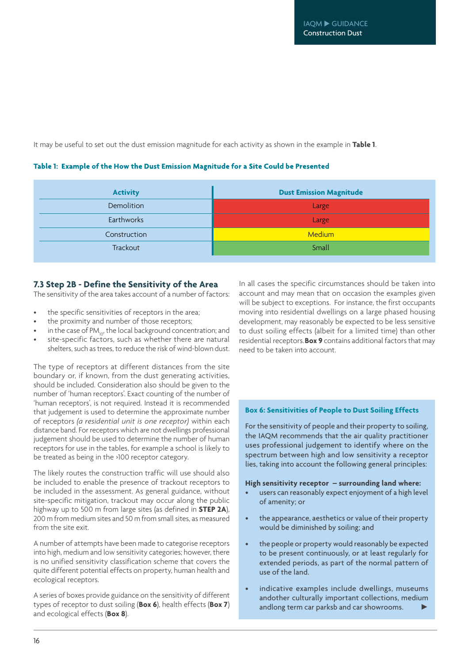It may be useful to set out the dust emission magnitude for each activity as shown in the example in **Table 1**.

| <b>Activity</b> | <b>Dust Emission Magnitude</b> |
|-----------------|--------------------------------|
| Demolition      | Large                          |
| Earthworks      | Large                          |
| Construction    | <b>Medium</b>                  |
| Trackout        | Small                          |

#### Table 1: Example of the How the Dust Emission Magnitude for a Site Could be Presented

#### **7.3 Step 2B - Define the Sensitivity of the Area**

The sensitivity of the area takes account of a number of factors:

- the specific sensitivities of receptors in the area;
- the proximity and number of those receptors;
- in the case of  $PM_{10}$ , the local background concentration; and
- site-specific factors, such as whether there are natural shelters, such as trees, to reduce the risk of wind-blown dust.

The type of receptors at different distances from the site boundary or, if known, from the dust generating activities, should be included. Consideration also should be given to the number of 'human receptors'. Exact counting of the number of 'human receptors', is not required. Instead it is recommended that judgement is used to determine the approximate number of receptors *(a residential unit is one receptor)* within each distance band. For receptors which are not dwellings professional judgement should be used to determine the number of human receptors for use in the tables, for example a school is likely to be treated as being in the >100 receptor category.

The likely routes the construction traffic will use should also be included to enable the presence of trackout receptors to be included in the assessment. As general guidance, without site-specific mitigation, trackout may occur along the public highway up to 500 m from large sites (as defined in **STEP 2A**), 200 m from medium sites and 50 m from small sites, as measured from the site exit.

A number of attempts have been made to categorise receptors into high, medium and low sensitivity categories; however, there is no unified sensitivity classification scheme that covers the quite different potential effects on property, human health and ecological receptors.

A series of boxes provide guidance on the sensitivity of different types of receptor to dust soiling (**Box 6**), health effects (**Box 7**) and ecological effects (**Box 8**).

In all cases the specific circumstances should be taken into account and may mean that on occasion the examples given will be subject to exceptions. For instance, the first occupants moving into residential dwellings on a large phased housing development, may reasonably be expected to be less sensitive to dust soiling effects (albeit for a limited time) than other residential receptors. **Box 9** contains additional factors that may need to be taken into account.

#### **Box 6: Sensitivities of People to Dust Soiling Effects**

For the sensitivity of people and their property to soiling, the IAQM recommends that the air quality practitioner uses professional judgement to identify where on the spectrum between high and low sensitivity a receptor lies, taking into account the following general principles:

#### **High sensitivity receptor – surrounding land where:**

- users can reasonably expect enjoyment of a high level of amenity; or
- the appearance, aesthetics or value of their property would be diminished by soiling; and
- the people or property would reasonably be expected to be present continuously, or at least regularly for extended periods, as part of the normal pattern of use of the land.
- indicative examples include dwellings, museums andother culturally important collections, medium andlong term car parksb and car showrooms. **►**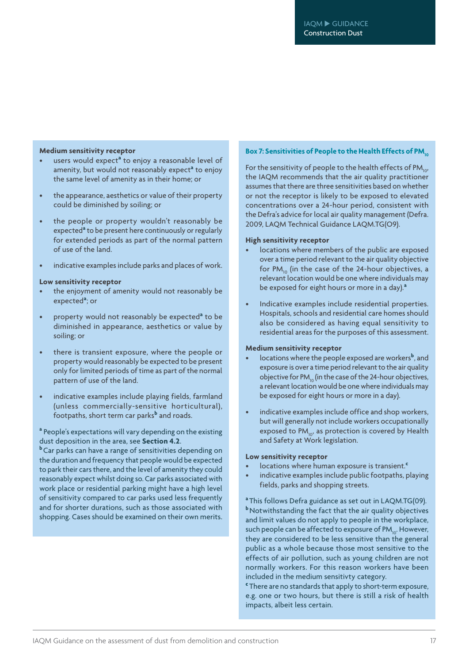#### **Medium sensitivity receptor**

- users would expect**<sup>a</sup>** to enjoy a reasonable level of amenity, but would not reasonably expect**<sup>a</sup>** to enjoy the same level of amenity as in their home; or
- the appearance, aesthetics or value of their property could be diminished by soiling; or
- the people or property wouldn't reasonably be expected**<sup>a</sup>** to be present here continuously or regularly for extended periods as part of the normal pattern of use of the land.
- indicative examples include parks and places of work.

#### **Low sensitivity receptor**

- the enjoyment of amenity would not reasonably be expected**<sup>a</sup>** ; or
- property would not reasonably be expected<sup>a</sup> to be diminished in appearance, aesthetics or value by soiling; or
- there is transient exposure, where the people or property would reasonably be expected to be present only for limited periods of time as part of the normal pattern of use of the land.
- indicative examples include playing fields, farmland (unless commercially-sensitive horticultural), footpaths, short term car parks**<sup>b</sup>** and roads.

#### **<sup>a</sup>** People's expectations will vary depending on the existing dust deposition in the area, see **Section 4.2**.

**<sup>b</sup>**Car parks can have a range of sensitivities depending on the duration and frequency that people would be expected to park their cars there, and the level of amenity they could reasonably expect whilst doing so. Car parks associated with work place or residential parking might have a high level of sensitivity compared to car parks used less frequently and for shorter durations, such as those associated with shopping. Cases should be examined on their own merits.

#### **Box** 7: **Sensitivities** of People to the Health Effects of PM<sub>10</sub>

For the sensitivity of people to the health effects of  $PM_{10}$ , the IAQM recommends that the air quality practitioner assumes that there are three sensitivities based on whether or not the receptor is likely to be exposed to elevated concentrations over a 24-hour period, consistent with the Defra's advice for local air quality management (Defra. 2009, LAQM Technical Guidance LAQM.TG(O9).

#### **High sensitivity receptor**

- locations where members of the public are exposed over a time period relevant to the air quality objective for  $PM_{10}$  (in the case of the 24-hour objectives, a relevant location would be one where individuals may be exposed for eight hours or more in a day).**<sup>a</sup>**
- Indicative examples include residential properties. Hospitals, schools and residential care homes should also be considered as having equal sensitivity to residential areas for the purposes of this assessment.

#### **Medium sensitivity receptor**

- locations where the people exposed are workers<sup>b</sup>, and exposure is over a time period relevant to the air quality objective for PM $_{10}$  (in the case of the 24-hour objectives, a relevant location would be one where individuals may be exposed for eight hours or more in a day).
- indicative examples include office and shop workers, but will generally not include workers occupationally exposed to  $PM_{10}$ , as protection is covered by Health and Safety at Work legislation.

#### **Low sensitivity receptor**

- locations where human exposure is transient.**<sup>c</sup>**
- indicative examples include public footpaths, playing fields, parks and shopping streets.
- **<sup>a</sup>** This follows Defra guidance as set out in LAQM.TG(09).

**b** Notwithstanding the fact that the air quality objectives and limit values do not apply to people in the workplace, such people can be affected to exposure of PM<sub>10</sub>. However, they are considered to be less sensitive than the general public as a whole because those most sensitive to the effects of air pollution, such as young children are not normally workers. For this reason workers have been included in the medium sensitivty category.

**c** There are no standards that apply to short-term exposure, e.g. one or two hours, but there is still a risk of health impacts, albeit less certain.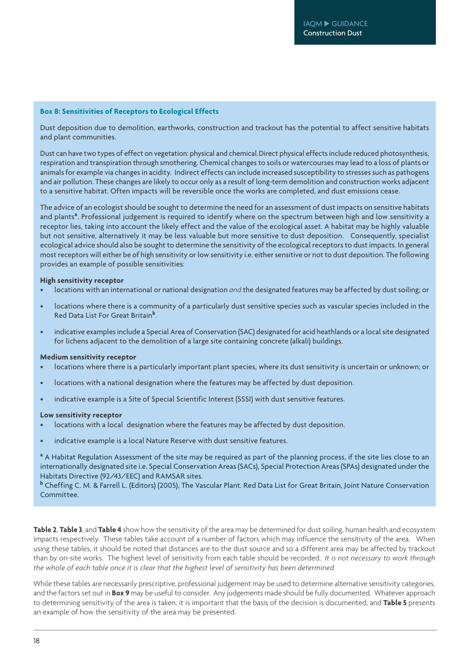#### **Box 8: Sensitivities of Receptors to Ecological Effects**

Dust deposition due to demolition, earthworks, construction and trackout has the potential to affect sensitive habitats and plant communities.

Dust can have two types of effect on vegetation: physical and chemical. Direct physical effects include reduced photosynthesis, respiration and transpiration through smothering. Chemical changes to soils or watercourses may lead to a loss of plants or animals for example via changes in acidity. Indirect effects can include increased susceptibility to stresses such as pathogens and air pollution. These changes are likely to occur only as a result of long-term demolition and construction works adjacent to a sensitive habitat. Often impacts will be reversible once the works are completed, and dust emissions cease.

The advice of an ecologist should be sought to determine the need for an assessment of dust impacts on sensitive habitats and plants<sup>a</sup>. Professional judgement is required to identify where on the spectrum between high and low sensitivity a receptor lies, taking into account the likely effect and the value of the ecological asset. A habitat may be highly valuable but not sensitive, alternatively it may be less valuable but more sensitive to dust deposition. Consequently, specialist ecological advice should also be sought to determine the sensitivity of the ecological receptors to dust impacts. In general most receptors will either be of high sensitivity or low sensitivity i.e. either sensitive or not to dust deposition. The following provides an example of possible sensitivities:

#### **High sensitivity receptor**

- locations with an international or national designation *and* the designated features may be affected by dust soiling; or
- locations where there is a community of a particularly dust sensitive species such as vascular species included in the Red Data List For Great Britain**<sup>b</sup>** .
- indicative examples include a Special Area of Conservation (SAC) designated for acid heathlands or a local site designated for lichens adjacent to the demolition of a large site containing concrete (alkali) buildings.

#### **Medium sensitivity receptor**

- locations where there is a particularly important plant species, where its dust sensitivity is uncertain or unknown; or
- locations with a national designation where the features may be affected by dust deposition.
- indicative example is a Site of Special Scientific Interest (SSSI) with dust sensitive features.

#### **Low sensitivity receptor**

- locations with a local designation where the features may be affected by dust deposition.
- indicative example is a local Nature Reserve with dust sensitive features.

<sup>a</sup> A Habitat Regulation Assessment of the site may be required as part of the planning process, if the site lies close to an internationally designated site i.e. Special Conservation Areas (SACs), Special Protection Areas (SPAs) designated under the Habitats Directive (92/43/EEC) and RAMSAR sites.

**b** Cheffing C. M. & Farrell L. (Editors) (2005), The Vascular Plant. Red Data List for Great Britain, Joint Nature Conservation Committee.

**Table 2**, **Table 3**, and **Table 4** show how the sensitivity of the area may be determined for dust soiling, human health and ecosystem impacts respectively. These tables take account of a number of factors which may influence the sensitivity of the area. When using these tables, it should be noted that distances are to the dust source and so a different area may be affected by trackout than by on-site works. The highest level of sensitivity from each table should be recorded. *It is not necessary to work through the whole of each table once it is clear that the highest level of sensitivity has been determined.*

While these tables are necessarily prescriptive, professional judgement may be used to determine alternative sensitivity categories, and the factors set out in **Box 9** may be useful to consider. Any judgements made should be fully documented. Whatever approach to determining sensitivity of the area is taken, it is important that the basis of the decision is documented, and **Table 5** presents an example of how the sensitivity of the area may be presented.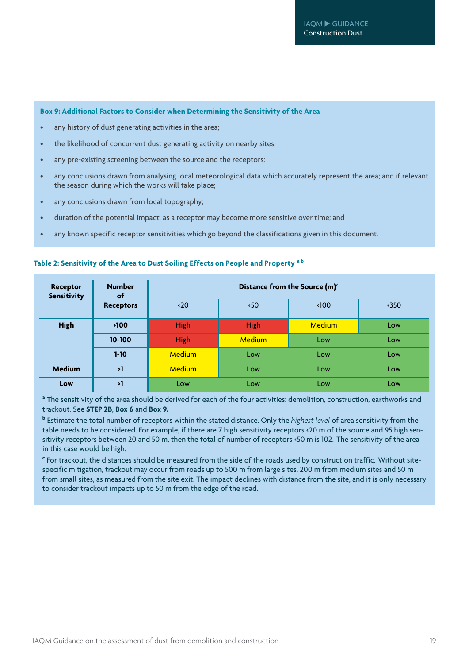#### **Box 9: Additional Factors to Consider when Determining the Sensitivity of the Area**

- any history of dust generating activities in the area;
- the likelihood of concurrent dust generating activity on nearby sites;
- any pre-existing screening between the source and the receptors;
- any conclusions drawn from analysing local meteorological data which accurately represent the area; and if relevant the season during which the works will take place;
- any conclusions drawn from local topography;
- duration of the potential impact, as a receptor may become more sensitive over time; and
- any known specific receptor sensitivities which go beyond the classifications given in this document.

| <b>Receptor</b><br><b>Sensitivity</b> | <b>Number</b><br>of |               |               | Distance from the Source (m) <sup>c</sup> |               |
|---------------------------------------|---------------------|---------------|---------------|-------------------------------------------|---------------|
|                                       | <b>Receptors</b>    | $\langle 20$  | $\cdot$ 50    | $\langle$ 100                             | $\langle$ 350 |
| <b>High</b>                           | $\cdot$ 100         | High          | High          | <b>Medium</b>                             | Low           |
|                                       | 10-100              | High          | <b>Medium</b> | Low                                       | Low           |
|                                       | $1 - 10$            | <b>Medium</b> | Low           | Low                                       | Low           |
| <b>Medium</b>                         | $\mathbf{v}$        | <b>Medium</b> | Low           | Low                                       | Low           |
| Low                                   | $\mathbf{v}$        | Low           | Low           | Low                                       | Low           |

#### **Table 2: Sensitivity of the Area to Dust Soiling Effects on People and Property <sup>a</sup> <sup>b</sup>**

**a** The sensitivity of the area should be derived for each of the four activities: demolition, construction, earthworks and trackout. See **STEP 2B**, **Box 6** and **Box 9.**

**b** Estimate the total number of receptors within the stated distance. Only the *highest level* of area sensitivity from the table needs to be considered. For example, if there are 7 high sensitivity receptors <20 m of the source and 95 high sensitivity receptors between 20 and 50 m, then the total of number of receptors <50 m is 102. The sensitivity of the area in this case would be high.

**c** For trackout, the distances should be measured from the side of the roads used by construction traffic. Without sitespecific mitigation, trackout may occur from roads up to 500 m from large sites, 200 m from medium sites and 50 m from small sites, as measured from the site exit. The impact declines with distance from the site, and it is only necessary to consider trackout impacts up to 50 m from the edge of the road.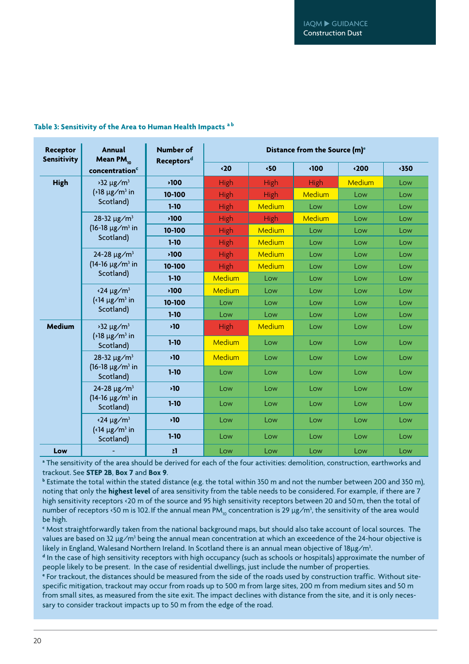| Receptor<br><b>Sensitivity</b> | <b>Annual</b><br>Mean PM <sub>10</sub>                                          | <b>Number of</b>       | Distance from the Source (m) <sup>e</sup> |             |             |               |      |
|--------------------------------|---------------------------------------------------------------------------------|------------------------|-------------------------------------------|-------------|-------------|---------------|------|
|                                | concentration <sup>c</sup>                                                      | Receptors <sup>d</sup> | $\langle 20$                              | ∢50         | ∢100        | $\langle 200$ | ∢350 |
| <b>High</b>                    | $32 \mu g/m^3$                                                                  | <b>&gt;100</b>         | High                                      | High        | <b>High</b> | Medium        | Low  |
|                                | $\frac{1}{8}$ ug/m <sup>3</sup> in                                              | 10-100                 | <b>High</b>                               | <b>High</b> | Medium      | Low           | Low  |
|                                | Scotland)                                                                       | $1 - 10$               | High                                      | Medium      | Low         | Low           | Low  |
|                                | 28-32 $\mu$ g/m <sup>3</sup>                                                    | ∗100                   | High                                      | High        | Medium      | Low           | Low  |
|                                | $(16-18 \mu g/m^3)$ in                                                          | 10-100                 | High                                      | Medium      | Low         | Low           | Low  |
|                                | Scotland)                                                                       | $1 - 10$               | High                                      | Medium      | Low         | Low           | Low  |
|                                | 24-28 $\mu$ g/m <sup>3</sup>                                                    | ∗100                   | High                                      | Medium      | Low         | Low           | Low  |
|                                | $(14-16 \mu g/m^3)$ in<br>Scotland)                                             | 10-100                 | High                                      | Medium      | Low         | Low           | Low  |
|                                |                                                                                 | $1 - 10$               | Medium                                    | Low         | Low         | Low           | Low  |
|                                | $\cdot$ 24 µg/m <sup>3</sup><br>$\left($ < 14 µg/m <sup>3</sup> in<br>Scotland) | <b>&gt;100</b>         | Medium                                    | Low         | Low         | Low           | Low  |
|                                |                                                                                 | 10-100                 | Low                                       | Low         | Low         | Low           | Low  |
|                                |                                                                                 | $1 - 10$               | Low                                       | Low         | Low         | Low           | Low  |
| <b>Medium</b>                  | $32 \mu g/m^3$<br>$\frac{1}{2}$ 18 µg/m <sup>3</sup> in<br>Scotland)            | 510                    | <b>High</b>                               | Medium      | Low         | Low           | Low  |
|                                |                                                                                 | $1 - 10$               | Medium                                    | Low         | Low         | Low           | Low  |
|                                | 28-32 $\mu$ g/m <sup>3</sup><br>$(16-18 \mu g/m^3)$ in<br>Scotland)             | $\mathbf{10}$          | Medium                                    | Low         | Low         | Low           | Low  |
|                                |                                                                                 | $1 - 10$               | Low                                       | Low         | Low         | Low           | Low  |
|                                | 24-28 $\mu$ g/m <sup>3</sup><br>$(14-16 \mu g/m^3)$ in<br>Scotland)             | $\mathbf{10}$          | Low                                       | Low         | Low         | Low           | Low  |
|                                |                                                                                 | $1 - 10$               | Low                                       | Low         | Low         | Low           | Low  |
|                                | $\cdot$ 24 µg/m <sup>3</sup>                                                    | 510                    | Low                                       | Low         | Low         | Low           | Low  |
|                                | $\left($ < 14 µg/m <sup>3</sup> in<br>Scotland)                                 | $1-10$                 | Low                                       | Low         | Low         | Low           | Low  |
| Low                            |                                                                                 | 21                     | Low                                       | Low         | Low         | Low           | Low  |

#### **Table 3: Sensitivity of the Area to Human Health Impacts <sup>a</sup> <sup>b</sup>**

**a** The sensitivity of the area should be derived for each of the four activities: demolition, construction, earthworks and trackout. See **STEP 2B**, **Box 7** and **Box 9**.

**b** Estimate the total within the stated distance (e.g. the total within 350 m and not the number between 200 and 350 m), noting that only the **highest level** of area sensitivity from the table needs to be considered. For example, if there are 7 high sensitivity receptors <20 m of the source and 95 high sensitivity receptors between 20 and 50 m, then the total of number of receptors <50 m is 102. If the annual mean PM $_{\rm lo}$  concentration is 29  $\mu$ g/m $^3$ , the sensitivity of the area would be high.

**c** Most straightforwardly taken from the national background maps, but should also take account of local sources. The values are based on 32 µg/m<sup>3</sup> being the annual mean concentration at which an exceedence of the 24-hour objective is likely in England, Walesand Northern Ireland. In Scotland there is an annual mean objective of  $18\mu$ g/m<sup>3</sup>.

**d** In the case of high sensitivity receptors with high occupancy (such as schools or hospitals) approximate the number of people likely to be present. In the case of residential dwellings, just include the number of properties.

**e** For trackout, the distances should be measured from the side of the roads used by construction traffic. Without sitespecific mitigation, trackout may occur from roads up to 500 m from large sites, 200 m from medium sites and 50 m from small sites, as measured from the site exit. The impact declines with distance from the site, and it is only necessary to consider trackout impacts up to 50 m from the edge of the road.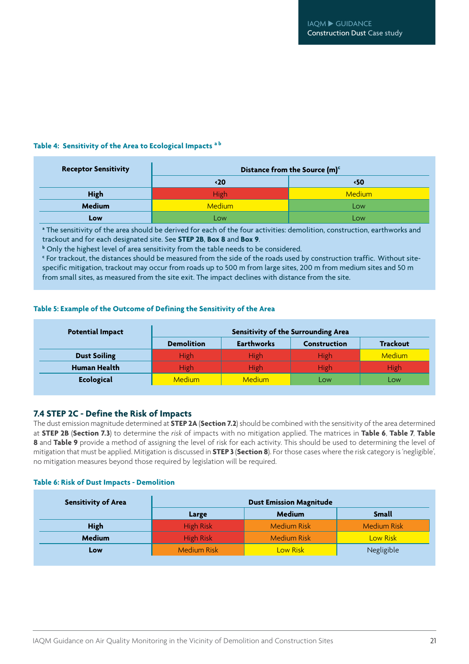#### **Table 4: Sensitivity of the Area to Ecological Impacts <sup>a</sup> <sup>b</sup>**

| <b>Receptor Sensitivity</b> |               | Distance from the Source (m) <sup>c</sup> |
|-----------------------------|---------------|-------------------------------------------|
|                             | $\langle 20$  | ⋅50                                       |
| <b>High</b>                 | High          | <b>Medium</b>                             |
| <b>Medium</b>               | <b>Medium</b> | Low                                       |
| Low                         | Low           | Low                                       |

**a** The sensitivity of the area should be derived for each of the four activities: demolition, construction, earthworks and trackout and for each designated site. See **STEP 2B**, **Box 8** and **Box 9**.

**b** Only the highest level of area sensitivity from the table needs to be considered.

**c** For trackout, the distances should be measured from the side of the roads used by construction traffic. Without sitespecific mitigation, trackout may occur from roads up to 500 m from large sites, 200 m from medium sites and 50 m from small sites, as measured from the site exit. The impact declines with distance from the site.

#### **Table 5: Example of the Outcome of Defining the Sensitivity of the Area**

| <b>Potential Impact</b> | <b>Sensitivity of the Surrounding Area</b> |                   |                     |                 |  |
|-------------------------|--------------------------------------------|-------------------|---------------------|-----------------|--|
|                         | <b>Demolition</b>                          | <b>Earthworks</b> | <b>Construction</b> | <b>Trackout</b> |  |
| <b>Dust Soiling</b>     | High                                       | High              | High                | <b>Medium</b>   |  |
| <b>Human Health</b>     | <b>High</b>                                | High              | High                | <b>High</b>     |  |
| <b>Ecological</b>       | <b>Medium</b>                              | <b>Medium</b>     | LOW                 | <b>LOW</b>      |  |

#### **7.4 STEP 2C - Define the Risk of Impacts**

The dust emission magnitude determined at **STEP 2A** (**Section 7.2**) should be combined with the sensitivity of the area determined at **STEP 2B** (**Section 7.3**) to determine the *risk* of impacts with no mitigation applied. The matrices in **Table 6**, **Table 7**, **Table 8** and **Table 9** provide a method of assigning the level of risk for each activity. This should be used to determining the level of mitigation that must be applied. Mitigation is discussed in **STEP 3** (**Section 8**). For those cases where the risk category is 'negligible', no mitigation measures beyond those required by legislation will be required.

#### **Table 6: Risk of Dust Impacts - Demolition**

| <b>Sensitivity of Area</b> |                    | <b>Dust Emission Magnitude</b> |                    |
|----------------------------|--------------------|--------------------------------|--------------------|
|                            | Large              | <b>Medium</b>                  | <b>Small</b>       |
| <b>High</b>                | <b>High Risk</b>   | <b>Medium Risk</b>             | <b>Medium Risk</b> |
| <b>Medium</b>              | <b>High Risk</b>   | <b>Medium Risk</b>             | Low Risk           |
| Low                        | <b>Medium Risk</b> | <b>Low Risk</b>                | Negligible         |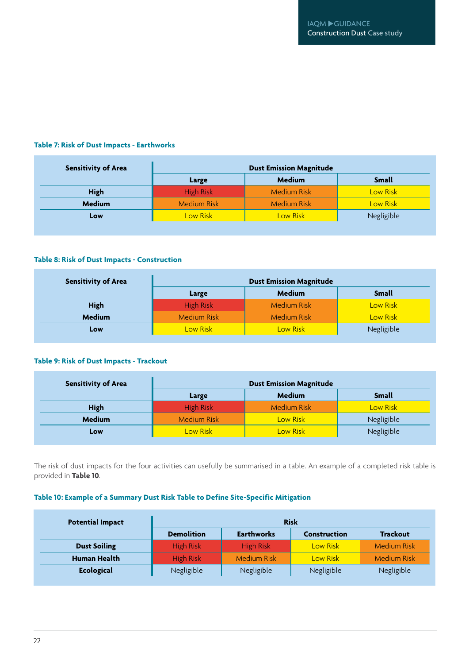#### **Table 7: Risk of Dust Impacts - Earthworks**

| <b>Sensitivity of Area</b> | <b>Dust Emission Magnitude</b> |                    |                 |  |  |
|----------------------------|--------------------------------|--------------------|-----------------|--|--|
|                            | Large                          | <b>Medium</b>      | <b>Small</b>    |  |  |
| <b>High</b>                | <b>High Risk</b>               | <b>Medium Risk</b> | <b>Low Risk</b> |  |  |
| <b>Medium</b>              | <b>Medium Risk</b>             | <b>Medium Risk</b> | <b>Low Risk</b> |  |  |
| Low                        | Low Risk                       | Low Risk           | Negligible      |  |  |

#### **Table 8: Risk of Dust Impacts - Construction**

| <b>Sensitivity of Area</b> | <b>Dust Emission Magnitude</b> |                    |                 |  |  |
|----------------------------|--------------------------------|--------------------|-----------------|--|--|
|                            | Large                          | <b>Medium</b>      | <b>Small</b>    |  |  |
| <b>High</b>                | <b>High Risk</b>               | <b>Medium Risk</b> | Low Risk        |  |  |
| <b>Medium</b>              | <b>Medium Risk</b>             | <b>Medium Risk</b> | <b>Low Risk</b> |  |  |
| Low                        | Low Risk                       | <b>Low Risk</b>    | Negligible      |  |  |

#### **Table 9: Risk of Dust Impacts - Trackout**

| <b>Sensitivity of Area</b> | <b>Dust Emission Magnitude</b> |                    |                 |  |  |
|----------------------------|--------------------------------|--------------------|-----------------|--|--|
|                            | Large                          | <b>Medium</b>      | <b>Small</b>    |  |  |
| <b>High</b>                | <b>High Risk</b>               | <b>Medium Risk</b> | <b>Low Risk</b> |  |  |
| <b>Medium</b>              | <b>Medium Risk</b>             | Low Risk           | Negligible      |  |  |
| Low                        | Low Risk                       | <b>Low Risk</b>    | Negligible      |  |  |

The risk of dust impacts for the four activities can usefully be summarised in a table. An example of a completed risk table is provided in **Table 10**.

#### **Table 10: Example of a Summary Dust Risk Table to Define Site-Specific Mitigation**

| <b>Potential Impact</b> | <b>Risk</b>       |                    |                     |                    |
|-------------------------|-------------------|--------------------|---------------------|--------------------|
|                         | <b>Demolition</b> | <b>Earthworks</b>  | <b>Construction</b> | <b>Trackout</b>    |
| <b>Dust Soiling</b>     | <b>High Risk</b>  | <b>High Risk</b>   | Low Risk            | <b>Medium Risk</b> |
| <b>Human Health</b>     | High Risk         | <b>Medium Risk</b> | Low Risk            | <b>Medium Risk</b> |
| <b>Ecological</b>       | Negligible        | Negligible         | Negligible          | Negligible         |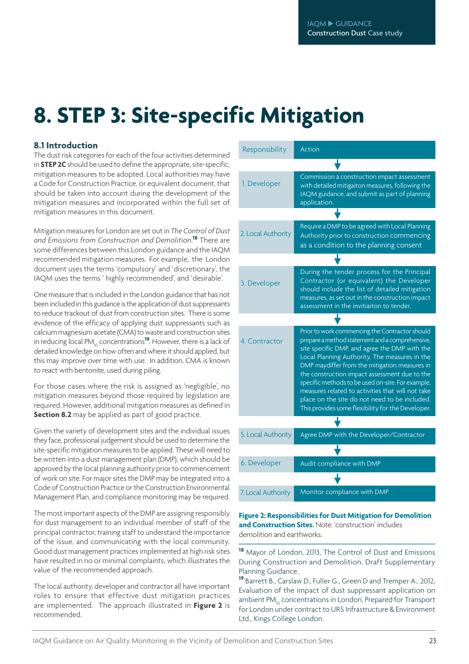## **8. STEP 3: Site-specific Mitigation**

#### **8.1 Introduction**

The dust risk categories for each of the four activities determined in **STEP 2C** should be used to define the appropriate, site-specific, mitigation measures to be adopted. Local authorities may have a Code for Construction Practice, or equivalent document, that should be taken into account during the development of the mitigation measures and incorporated within the full set of mitigation measures in this document.

Mitigation measures for London are set out in *The Control of Dust and Emissions from Construction and Demolition*. **<sup>18</sup>** There are some differences between this London guidance and the IAQM recommended mitigation measures. For example, the London document uses the terms 'compulsory' and 'discretionary', the IAQM uses the terms ' highly recommended', and 'desirable'.

One measure that is included in the London guidance that has not been included in this guidance is the application of dust suppressants to reduce trackout of dust from construction sites. There is some evidence of the efficacy of applying dust suppressants such as calcium magnesium acetate (CMA) to waste and construction sites in reducing local PM<sub>10</sub> concentrations<sup>19</sup>. However, there is a lack of detailed knowledge on how often and where it should applied, but this may improve over time with use. In addition, CMA is known to react with bentonite, used during piling.

For those cases where the risk is assigned as 'negligible', no mitigation measures beyond those required by legislation are required. However, additional mitigation measures as defined in **Section 8.2** may be applied as part of good practice.

Given the variety of development sites and the individual issues they face, professional judgement should be used to determine the site-specific mitigation measures to be applied. These will need to be written into a dust management plan (DMP), which should be approved by the local planning authority prior to commencement of work on site. For major sites the DMP may be integrated into a Code of Construction Practice or the Construction Environmental Management Plan, and compliance monitoring may be required.

The most important aspects of the DMP are assigning responsibly for dust management to an individual member of staff of the principal contractor, training staff to understand the importance of the issue, and communicating with the local community. Good dust management practices implemented at high risk sites have resulted in no or minimal complaints, which illustrates the value of the recommended approach.

The local authority, developer and contractor all have important roles to ensure that effective dust mitigation practices are implemented. The approach illustrated in **Figure 2** is recommended.

| Responsibility     | <b>Action</b>                                                                                                                                                                                                                                                                                                                                                                                                                                                                                                         |
|--------------------|-----------------------------------------------------------------------------------------------------------------------------------------------------------------------------------------------------------------------------------------------------------------------------------------------------------------------------------------------------------------------------------------------------------------------------------------------------------------------------------------------------------------------|
|                    |                                                                                                                                                                                                                                                                                                                                                                                                                                                                                                                       |
| 1. Developer       | Commission a construction impact assessment<br>with detailed mitigaiton measures, following the<br>IAQM guidance, and submit as part of planning<br>application.                                                                                                                                                                                                                                                                                                                                                      |
|                    |                                                                                                                                                                                                                                                                                                                                                                                                                                                                                                                       |
| 2. Local Authority | Require a DMP to be agreed with Local Planning<br>Authority prior to construction commencing<br>as a condition to the planning consent                                                                                                                                                                                                                                                                                                                                                                                |
|                    |                                                                                                                                                                                                                                                                                                                                                                                                                                                                                                                       |
| 3. Developer       | During the tender process for the Principal<br>Contractor (or equivalent) the Developer<br>should include the list of detailed mitigation<br>measures, as set out in the construction impact<br>assessment in the invitiaiton to tender.                                                                                                                                                                                                                                                                              |
|                    |                                                                                                                                                                                                                                                                                                                                                                                                                                                                                                                       |
| 4. Contractor      | Prior to work commencing the Contractor should<br>prepare a method statement and a comprehensive,<br>site specific DMP, and agree the DMP with the<br>Local Planning Authority. The measures in the<br>DMP maydiffer from the mitigation measures in<br>the construction impact assessment due to the<br>specific methods to be used on-site. For example,<br>measures related to activities that will not take<br>place on the site do not need to be included.<br>This provides some flexibility for the Developer. |
|                    |                                                                                                                                                                                                                                                                                                                                                                                                                                                                                                                       |
| 5. Local Authority | Agree DMP with the Developer/Contractor                                                                                                                                                                                                                                                                                                                                                                                                                                                                               |
|                    |                                                                                                                                                                                                                                                                                                                                                                                                                                                                                                                       |
| 6. Developer       | Audit compliance with DMP                                                                                                                                                                                                                                                                                                                                                                                                                                                                                             |
|                    |                                                                                                                                                                                                                                                                                                                                                                                                                                                                                                                       |
| 7. Local Authority | Monitor compliance with DMP                                                                                                                                                                                                                                                                                                                                                                                                                                                                                           |

#### **Figure 2: Responsibilitiesfor Dust Mitigation for Demolition and Construction Sites.** Note: 'construction' includes demolition and earthworks.

**<sup>18</sup>** Mayor of London, 2013, The Control of Dust and Emissions During Construction and Demolition, Draft Supplementary Planning Guidance.

**<sup>19</sup>** Barrett B., Carslaw D., Fuller G., Green D and Tremper A., 2012, Evaluation of the impact of dust suppressant application on ambient PM<sub>10</sub> concentrations in London, Prepared for Transport for London under contract to URS Infrastructure & Environment Ltd., Kings College London.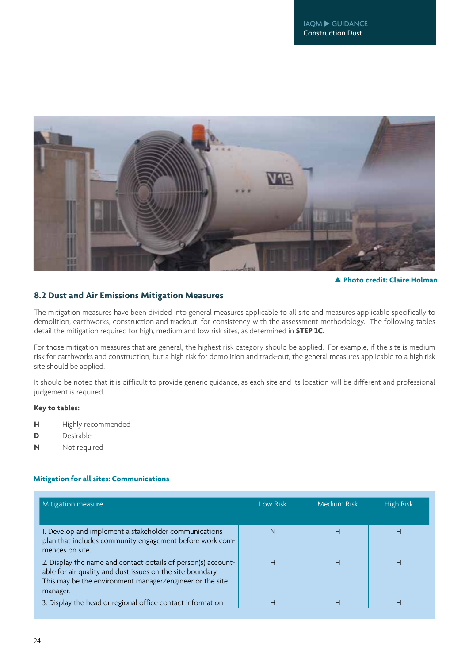

**Photo credit: Claire Holman**

#### **8.2 Dust and Air Emissions Mitigation Measures**

The mitigation measures have been divided into general measures applicable to all site and measures applicable specifically to demolition, earthworks, construction and trackout, for consistency with the assessment methodology. The following tables detail the mitigation required for high, medium and low risk sites, as determined in **STEP 2C.**

For those mitigation measures that are general, the highest risk category should be applied. For example, if the site is medium risk for earthworks and construction, but a high risk for demolition and track-out, the general measures applicable to a high risk site should be applied.

It should be noted that it is difficult to provide generic guidance, as each site and its location will be different and professional judgement is required.

#### **Key to tables:**

- **H** Highly recommended
- **D** Desirable
- **N** Not required

#### **Mitigation for all sites: Communications**

| Mitigation measure                                                                                                                                                                                  | Low Risk | <b>Medium Risk</b> | <b>High Risk</b> |
|-----------------------------------------------------------------------------------------------------------------------------------------------------------------------------------------------------|----------|--------------------|------------------|
| 1. Develop and implement a stakeholder communications<br>plan that includes community engagement before work com-<br>mences on site.                                                                | N        | Н                  | Н                |
| 2. Display the name and contact details of person(s) account-<br>able for air quality and dust issues on the site boundary.<br>This may be the environment manager/engineer or the site<br>manager. | н        | Н                  | H                |
| 3. Display the head or regional office contact information                                                                                                                                          | Н        | Н                  | Н                |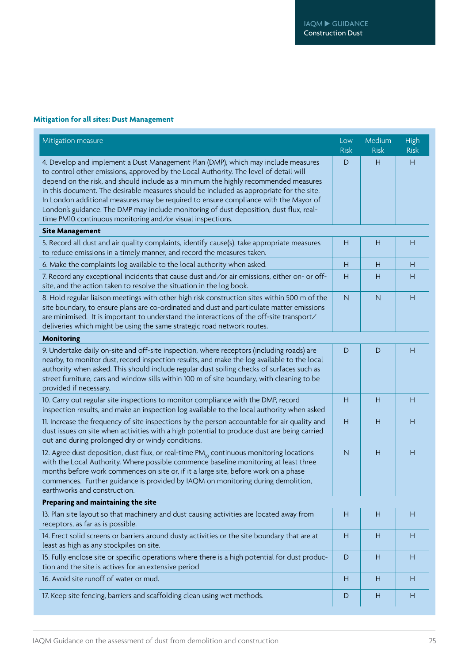#### **Mitigation for all sites: Dust Management**

| Mitigation measure                                                                                                                                                                                                                                                                                                                                                                                                                                                                                                                                                                                            | Low<br><b>Risk</b> | Medium<br><b>Risk</b> | High<br><b>Risk</b> |
|---------------------------------------------------------------------------------------------------------------------------------------------------------------------------------------------------------------------------------------------------------------------------------------------------------------------------------------------------------------------------------------------------------------------------------------------------------------------------------------------------------------------------------------------------------------------------------------------------------------|--------------------|-----------------------|---------------------|
| 4. Develop and implement a Dust Management Plan (DMP), which may include measures<br>to control other emissions, approved by the Local Authority. The level of detail will<br>depend on the risk, and should include as a minimum the highly recommended measures<br>in this document. The desirable measures should be included as appropriate for the site.<br>In London additional measures may be required to ensure compliance with the Mayor of<br>London's guidance. The DMP may include monitoring of dust deposition, dust flux, real-<br>time PM10 continuous monitoring and/or visual inspections. | D                  | Н                     | H                   |
| <b>Site Management</b>                                                                                                                                                                                                                                                                                                                                                                                                                                                                                                                                                                                        |                    |                       |                     |
| 5. Record all dust and air quality complaints, identify cause(s), take appropriate measures<br>to reduce emissions in a timely manner, and record the measures taken.                                                                                                                                                                                                                                                                                                                                                                                                                                         | Н                  | Н                     | H                   |
| 6. Make the complaints log available to the local authority when asked.                                                                                                                                                                                                                                                                                                                                                                                                                                                                                                                                       | H                  | H                     | Н                   |
| 7. Record any exceptional incidents that cause dust and/or air emissions, either on- or off-<br>site, and the action taken to resolve the situation in the log book.                                                                                                                                                                                                                                                                                                                                                                                                                                          | H                  | H                     | Н                   |
| 8. Hold regular liaison meetings with other high risk construction sites within 500 m of the<br>site boundary, to ensure plans are co-ordinated and dust and particulate matter emissions<br>are minimised. It is important to understand the interactions of the off-site transport/<br>deliveries which might be using the same strategic road network routes.                                                                                                                                                                                                                                              | N                  | $\mathsf{N}$          | Н                   |
| <b>Monitoring</b>                                                                                                                                                                                                                                                                                                                                                                                                                                                                                                                                                                                             |                    |                       |                     |
| 9. Undertake daily on-site and off-site inspection, where receptors (including roads) are<br>nearby, to monitor dust, record inspection results, and make the log available to the local<br>authority when asked. This should include regular dust soiling checks of surfaces such as<br>street furniture, cars and window sills within 100 m of site boundary, with cleaning to be<br>provided if necessary.                                                                                                                                                                                                 | D                  | D                     | Н                   |
| 10. Carry out regular site inspections to monitor compliance with the DMP, record<br>inspection results, and make an inspection log available to the local authority when asked                                                                                                                                                                                                                                                                                                                                                                                                                               | H                  | H                     | H                   |
| 11. Increase the frequency of site inspections by the person accountable for air quality and<br>dust issues on site when activities with a high potential to produce dust are being carried<br>out and during prolonged dry or windy conditions.                                                                                                                                                                                                                                                                                                                                                              | H                  | H                     | Н                   |
| 12. Agree dust deposition, dust flux, or real-time PM <sub>10</sub> continuous monitoring locations<br>with the Local Authority. Where possible commence baseline monitoring at least three<br>months before work commences on site or, if it a large site, before work on a phase<br>commences. Further guidance is provided by IAQM on monitoring during demolition,<br>earthworks and construction.                                                                                                                                                                                                        | $\mathsf{N}$       | H                     | H                   |
| Preparing and maintaining the site                                                                                                                                                                                                                                                                                                                                                                                                                                                                                                                                                                            |                    |                       |                     |
| 13. Plan site layout so that machinery and dust causing activities are located away from<br>receptors, as far as is possible.                                                                                                                                                                                                                                                                                                                                                                                                                                                                                 | Н                  | Н                     | Н                   |
| 14. Erect solid screens or barriers around dusty activities or the site boundary that are at<br>least as high as any stockpiles on site.                                                                                                                                                                                                                                                                                                                                                                                                                                                                      | Н                  | Н                     | H                   |
| 15. Fully enclose site or specific operations where there is a high potential for dust produc-<br>tion and the site is actives for an extensive period                                                                                                                                                                                                                                                                                                                                                                                                                                                        | $\mathsf D$        | H                     | H                   |
| 16. Avoid site runoff of water or mud.                                                                                                                                                                                                                                                                                                                                                                                                                                                                                                                                                                        | Н                  | Н                     | H                   |
| 17. Keep site fencing, barriers and scaffolding clean using wet methods.                                                                                                                                                                                                                                                                                                                                                                                                                                                                                                                                      | D                  | Н                     | H                   |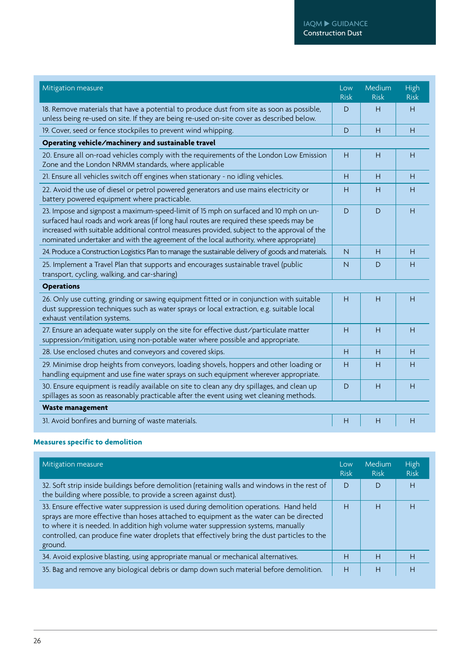#### IAQM ▶ GUIDANCE Construction Dust

| Mitigation measure                                                                                                                                                                                                                                                                                                                                                          | Low<br><b>Risk</b> | Medium<br><b>Risk</b> | High<br><b>Risk</b> |
|-----------------------------------------------------------------------------------------------------------------------------------------------------------------------------------------------------------------------------------------------------------------------------------------------------------------------------------------------------------------------------|--------------------|-----------------------|---------------------|
| 18. Remove materials that have a potential to produce dust from site as soon as possible,<br>unless being re-used on site. If they are being re-used on-site cover as described below.                                                                                                                                                                                      | D                  | Н                     | H                   |
| 19. Cover, seed or fence stockpiles to prevent wind whipping.                                                                                                                                                                                                                                                                                                               | D                  | H                     | H                   |
| Operating vehicle/machinery and sustainable travel                                                                                                                                                                                                                                                                                                                          |                    |                       |                     |
| 20. Ensure all on-road vehicles comply with the requirements of the London Low Emission<br>Zone and the London NRMM standards, where applicable                                                                                                                                                                                                                             | H                  | Н                     | H                   |
| 21. Ensure all vehicles switch off engines when stationary - no idling vehicles.                                                                                                                                                                                                                                                                                            | H                  | Н                     | Н                   |
| 22. Avoid the use of diesel or petrol powered generators and use mains electricity or<br>battery powered equipment where practicable.                                                                                                                                                                                                                                       | Н                  | н                     | Н                   |
| 23. Impose and signpost a maximum-speed-limit of 15 mph on surfaced and 10 mph on un-<br>surfaced haul roads and work areas (if long haul routes are required these speeds may be<br>increased with suitable additional control measures provided, subject to the approval of the<br>nominated undertaker and with the agreement of the local authority, where appropriate) | D                  | D                     | Н                   |
| 24. Produce a Construction Logistics Plan to manage the sustainable delivery of goods and materials.                                                                                                                                                                                                                                                                        | N                  | Н                     | Н                   |
| 25. Implement a Travel Plan that supports and encourages sustainable travel (public<br>transport, cycling, walking, and car-sharing)                                                                                                                                                                                                                                        | N                  | D                     | Н                   |
| <b>Operations</b>                                                                                                                                                                                                                                                                                                                                                           |                    |                       |                     |
| 26. Only use cutting, grinding or sawing equipment fitted or in conjunction with suitable<br>dust suppression techniques such as water sprays or local extraction, e.g. suitable local<br>exhaust ventilation systems.                                                                                                                                                      | H                  | H                     | H                   |
| 27. Ensure an adequate water supply on the site for effective dust/particulate matter<br>suppression/mitigation, using non-potable water where possible and appropriate.                                                                                                                                                                                                    | H                  | H                     | H                   |
| 28. Use enclosed chutes and conveyors and covered skips.                                                                                                                                                                                                                                                                                                                    | H                  | H                     | H                   |
| 29. Minimise drop heights from conveyors, loading shovels, hoppers and other loading or<br>handling equipment and use fine water sprays on such equipment wherever appropriate.                                                                                                                                                                                             | Н                  | Н                     | Н                   |
| 30. Ensure equipment is readily available on site to clean any dry spillages, and clean up<br>spillages as soon as reasonably practicable after the event using wet cleaning methods.                                                                                                                                                                                       | D                  | Н                     | Н                   |
| <b>Waste management</b>                                                                                                                                                                                                                                                                                                                                                     |                    |                       |                     |
| 31. Avoid bonfires and burning of waste materials.                                                                                                                                                                                                                                                                                                                          | Н                  | Н                     | Н                   |

#### **Measures specific to demolition**

| Mitigation measure                                                                                                                                                                                                                                                                                                                                                                 | Low<br><b>Risk</b> | Medium<br><b>Risk</b> | High<br><b>Risk</b> |
|------------------------------------------------------------------------------------------------------------------------------------------------------------------------------------------------------------------------------------------------------------------------------------------------------------------------------------------------------------------------------------|--------------------|-----------------------|---------------------|
| 32. Soft strip inside buildings before demolition (retaining walls and windows in the rest of<br>the building where possible, to provide a screen against dust).                                                                                                                                                                                                                   | D                  | D                     | Н                   |
| 33. Ensure effective water suppression is used during demolition operations. Hand held<br>sprays are more effective than hoses attached to equipment as the water can be directed<br>to where it is needed. In addition high volume water suppression systems, manually<br>controlled, can produce fine water droplets that effectively bring the dust particles to the<br>ground. | Н                  | Н                     | Н                   |
| 34. Avoid explosive blasting, using appropriate manual or mechanical alternatives.                                                                                                                                                                                                                                                                                                 | Н                  | H                     | н                   |
| 35. Bag and remove any biological debris or damp down such material before demolition.                                                                                                                                                                                                                                                                                             | Н                  | H                     | H                   |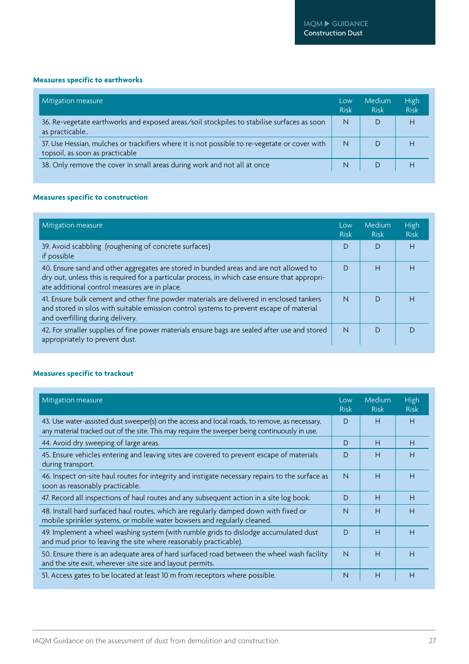#### **Measures specific to earthworks**

| Mitigation measure                                                                                                               | Low<br><b>Risk</b> | Medium<br><b>Risk</b> | <b>High</b><br><b>Risk</b> |
|----------------------------------------------------------------------------------------------------------------------------------|--------------------|-----------------------|----------------------------|
| 36. Re-vegetate earthworks and exposed areas/soil stockpiles to stabilise surfaces as soon<br>as practicable                     | $\mathsf{N}$       | D                     | H                          |
| 37. Use Hessian, mulches or trackifiers where it is not possible to re-vegetate or cover with<br>topsoil, as soon as practicable | $\mathsf{N}$       |                       | н                          |
| 38. Only remove the cover in small areas during work and not all at once                                                         | N                  |                       | H                          |

#### **Measures specific to construction**

| Mitigation measure                                                                                                                                                                                                                        | Low<br><b>Risk</b> | Medium<br><b>Risk</b> | <b>High</b><br><b>Risk</b> |
|-------------------------------------------------------------------------------------------------------------------------------------------------------------------------------------------------------------------------------------------|--------------------|-----------------------|----------------------------|
| 39. Avoid scabbling (roughening of concrete surfaces)<br>if possible                                                                                                                                                                      | D                  | D                     | H                          |
| 40. Ensure sand and other aggregates are stored in bunded areas and are not allowed to<br>dry out, unless this is required for a particular process, in which case ensure that appropri-<br>ate additional control measures are in place. | D                  | Н                     | H                          |
| 41. Ensure bulk cement and other fine powder materials are delivered in enclosed tankers<br>and stored in silos with suitable emission control systems to prevent escape of material<br>and overfilling during delivery.                  | $\mathsf{N}$       | $\mathsf{D}$          | H                          |
| 42. For smaller supplies of fine power materials ensure bags are sealed after use and stored<br>appropriately to prevent dust.                                                                                                            | $\overline{N}$     | D                     |                            |

#### **Measures specific to trackout**

| Mitigation measure                                                                                                                                                                              | Low<br><b>Risk</b> | Medium<br><b>Risk</b> | High<br><b>Risk</b> |
|-------------------------------------------------------------------------------------------------------------------------------------------------------------------------------------------------|--------------------|-----------------------|---------------------|
| 43. Use water-assisted dust sweeper(s) on the access and local roads, to remove, as necessary,<br>any material tracked out of the site. This may require the sweeper being continuously in use. | D                  | H                     | H                   |
| 44. Avoid dry sweeping of large areas.                                                                                                                                                          | D                  | H                     | H                   |
| 45. Ensure vehicles entering and leaving sites are covered to prevent escape of materials<br>during transport.                                                                                  | D                  | H                     | H                   |
| 46. Inspect on-site haul routes for integrity and instigate necessary repairs to the surface as<br>soon as reasonably practicable.                                                              | $\mathsf{N}$       | H                     | H                   |
| 47. Record all inspections of haul routes and any subsequent action in a site log book.                                                                                                         | D                  | H                     | H                   |
| 48. Install hard surfaced haul routes, which are regularly damped down with fixed or<br>mobile sprinkler systems, or mobile water bowsers and regularly cleaned.                                | $\mathsf{N}$       | H                     | H                   |
| 49. Implement a wheel washing system (with rumble grids to dislodge accumulated dust<br>and mud prior to leaving the site where reasonably practicable).                                        | D                  | H                     | Н                   |
| 50. Ensure there is an adequate area of hard surfaced road between the wheel wash facility<br>and the site exit, wherever site size and layout permits.                                         | $\mathsf{N}$       | H                     | H                   |
| 51. Access gates to be located at least 10 m from receptors where possible.                                                                                                                     | N                  | H                     | H                   |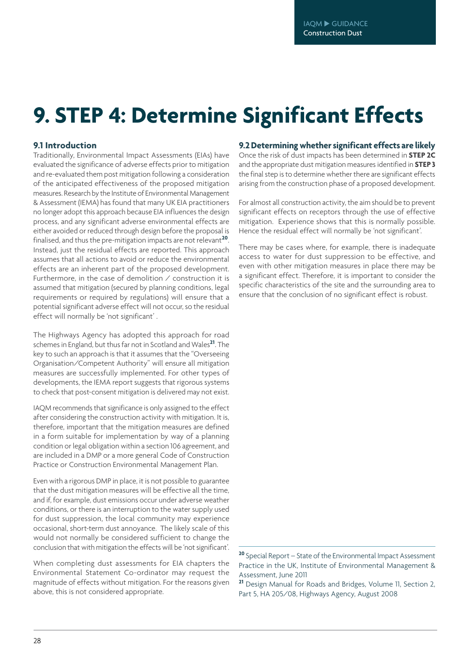## **9. STEP 4: Determine Significant Effects**

#### **9.1 Introduction**

Traditionally, Environmental Impact Assessments (EIAs) have evaluated the significance of adverse effects prior to mitigation and re-evaluated them post mitigation following a consideration of the anticipated effectiveness of the proposed mitigation measures. Research by the Institute of Environmental Management & Assessment (IEMA) has found that many UK EIA practitioners no longer adopt this approach because EIA influences the design process, and any significant adverse environmental effects are either avoided or reduced through design before the proposal is finalised, and thus the pre-mitigation impacts are not relevant**<sup>20</sup>**. Instead, just the residual effects are reported. This approach assumes that all actions to avoid or reduce the environmental effects are an inherent part of the proposed development. Furthermore, in the case of demolition  $\angle$  construction it is assumed that mitigation (secured by planning conditions, legal requirements or required by regulations) will ensure that a potential significant adverse effect will not occur, so the residual effect will normally be 'not significant' .

The Highways Agency has adopted this approach for road schemes in England, but thus far not in Scotland and Wales**<sup>21</sup>**. The key to such an approach is that it assumes that the "Overseeing Organisation/Competent Authority" will ensure all mitigation measures are successfully implemented. For other types of developments, the IEMA report suggests that rigorous systems to check that post-consent mitigation is delivered may not exist.

IAQM recommends that significance is only assigned to the effect after considering the construction activity with mitigation. It is, therefore, important that the mitigation measures are defined in a form suitable for implementation by way of a planning condition or legal obligation within a section 106 agreement, and are included in a DMP or a more general Code of Construction Practice or Construction Environmental Management Plan.

Even with a rigorous DMP in place, it is not possible to guarantee that the dust mitigation measures will be effective all the time, and if, for example, dust emissions occur under adverse weather conditions, or there is an interruption to the water supply used for dust suppression, the local community may experience occasional, short-term dust annoyance. The likely scale of this would not normally be considered sufficient to change the conclusion that with mitigation the effects will be 'not significant'.

When completing dust assessments for EIA chapters the Environmental Statement Co-ordinator may request the magnitude of effects without mitigation. For the reasons given above, this is not considered appropriate.

#### **9.2Determiningwhethersignificant effects are likely**

Once the risk of dust impacts has been determined in **STEP 2C** and the appropriate dust mitigation measures identified in **STEP 3** the final step is to determine whether there are significant effects arising from the construction phase of a proposed development.

For almost all construction activity, the aim should be to prevent significant effects on receptors through the use of effective mitigation. Experience shows that this is normally possible. Hence the residual effect will normally be 'not significant'.

There may be cases where, for example, there is inadequate access to water for dust suppression to be effective, and even with other mitigation measures in place there may be a significant effect. Therefore, it is important to consider the specific characteristics of the site and the surrounding area to ensure that the conclusion of no significant effect is robust.

**<sup>20</sup>** Special Report – State of the Environmental Impact Assessment Practice in the UK, Institute of Environmental Management & Assessment, June 2011

**<sup>21</sup>** Design Manual for Roads and Bridges, Volume 11, Section 2, Part 5, HA 205/08, Highways Agency, August 2008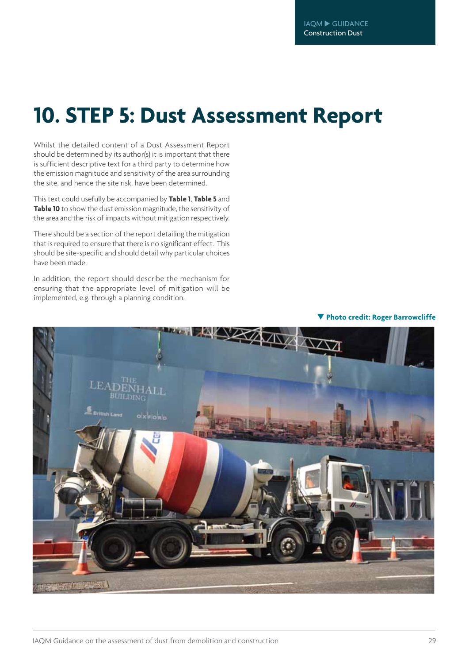## **10. STEP 5: Dust Assessment Report**

Whilst the detailed content of a Dust Assessment Report should be determined by its author(s) it is important that there is sufficient descriptive text for a third party to determine how the emission magnitude and sensitivity of the area surrounding the site, and hence the site risk, have been determined.

This text could usefully be accompanied by **Table 1**, **Table 5** and **Table 10** to show the dust emission magnitude, the sensitivity of the area and the risk of impacts without mitigation respectively.

There should be a section of the report detailing the mitigation that is required to ensure that there is no significant effect. This should be site-specific and should detail why particular choices have been made.

In addition, the report should describe the mechanism for ensuring that the appropriate level of mitigation will be implemented, e.g. through a planning condition.



**Photo credit: Roger Barrowcliffe**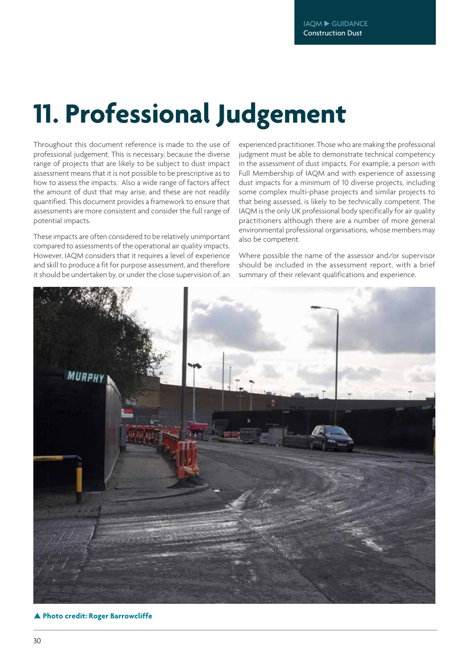## **11. Professional Judgement**

Throughout this document reference is made to the use of professional judgement. This is necessary, because the diverse range of projects that are likely to be subject to dust impact assessment means that it is not possible to be prescriptive as to how to assess the impacts. Also a wide range of factors affect the amount of dust that may arise, and these are not readily quantified. This document provides a framework to ensure that assessments are more consistent and consider the full range of potential impacts.

These impacts are often considered to be relatively unimportant compared to assessments of the operational air quality impacts. However, IAQM considers that it requires a level of experience and skill to produce a fit for purpose assessment, and therefore it should be undertaken by, or under the close supervision of, an

experienced practitioner. Those who are making the professional judgment must be able to demonstrate technical competency in the assessment of dust impacts. For example, a person with Full Membership of IAQM and with experience of assessing dust impacts for a minimum of 10 diverse projects, including some complex multi-phase projects and similar projects to that being assessed, is likely to be technically competent. The IAQM is the only UK professional body specifically for air quality practitioners although there are a number of more general environmental professional organisations, whose members may also be competent.

Where possible the name of the assessor and/or supervisor should be included in the assessment report, with a brief summary of their relevant qualifications and experience.



**Photo credit: Roger Barrowcliffe**